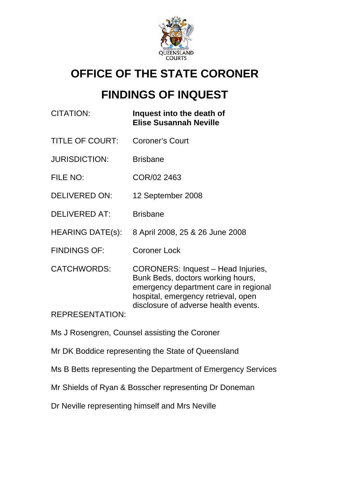

# **OFFICE OF THE STATE CORONER**

# **FINDINGS OF INQUEST**

| CITATION:              | Inquest into the death of<br><b>Elise Susannah Neville</b>                                                                                                                                      |
|------------------------|-------------------------------------------------------------------------------------------------------------------------------------------------------------------------------------------------|
| <b>TITLE OF COURT:</b> | <b>Coroner's Court</b>                                                                                                                                                                          |
| <b>JURISDICTION:</b>   | <b>Brisbane</b>                                                                                                                                                                                 |
| FILE NO:               | COR/02 2463                                                                                                                                                                                     |
| <b>DELIVERED ON:</b>   | 12 September 2008                                                                                                                                                                               |
| <b>DELIVERED AT:</b>   | <b>Brisbane</b>                                                                                                                                                                                 |
| HEARING DATE(s):       | 8 April 2008, 25 & 26 June 2008                                                                                                                                                                 |
| <b>FINDINGS OF:</b>    | <b>Coroner Lock</b>                                                                                                                                                                             |
| <b>CATCHWORDS:</b>     | CORONERS: Inquest - Head Injuries,<br>Bunk Beds, doctors working hours,<br>emergency department care in regional<br>hospital, emergency retrieval, open<br>disclosure of adverse health events. |
| <b>REPRESENTATION:</b> |                                                                                                                                                                                                 |

- Ms J Rosengren, Counsel assisting the Coroner
- Mr DK Boddice representing the State of Queensland

Ms B Betts representing the Department of Emergency Services

Mr Shields of Ryan & Bosscher representing Dr Doneman

Dr Neville representing himself and Mrs Neville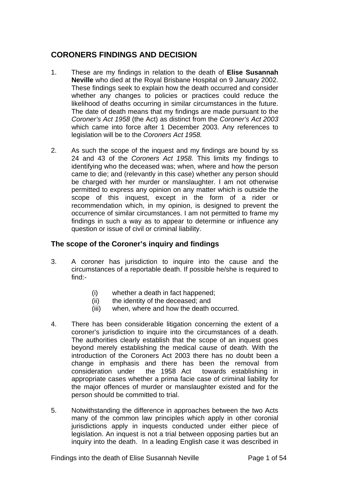## **CORONERS FINDINGS AND DECISION**

- 1. These are my findings in relation to the death of **Elise Susannah Neville** who died at the Royal Brisbane Hospital on 9 January 2002. These findings seek to explain how the death occurred and consider whether any changes to policies or practices could reduce the likelihood of deaths occurring in similar circumstances in the future. The date of death means that my findings are made pursuant to the *Coroner's Act 1958* (the Act) as distinct from the *Coroner's Act 2003*  which came into force after 1 December 2003. Any references to legislation will be to the *Coroners Act 1958.*
- 2. As such the scope of the inquest and my findings are bound by ss 24 and 43 of the *Coroners Act 1958.* This limits my findings to identifying who the deceased was; when, where and how the person came to die; and (relevantly in this case) whether any person should be charged with her murder or manslaughter. I am not otherwise permitted to express any opinion on any matter which is outside the scope of this inquest, except in the form of a rider or recommendation which, in my opinion, is designed to prevent the occurrence of similar circumstances. I am not permitted to frame my findings in such a way as to appear to determine or influence any question or issue of civil or criminal liability.

## **The scope of the Coroner's inquiry and findings**

- 3. A coroner has jurisdiction to inquire into the cause and the circumstances of a reportable death. If possible he/she is required to find:-
	- (i) whether a death in fact happened;
	- (ii) the identity of the deceased; and
	- (iii) when, where and how the death occurred.
- 4. There has been considerable litigation concerning the extent of a coroner's jurisdiction to inquire into the circumstances of a death. The authorities clearly establish that the scope of an inquest goes beyond merely establishing the medical cause of death. With the introduction of the Coroners Act 2003 there has no doubt been a change in emphasis and there has been the removal from consideration under the 1958 Act towards establishing in appropriate cases whether a prima facie case of criminal liability for the major offences of murder or manslaughter existed and for the person should be committed to trial.
- 5. Notwithstanding the difference in approaches between the two Acts many of the common law principles which apply in other coronial jurisdictions apply in inquests conducted under either piece of legislation. An inquest is not a trial between opposing parties but an inquiry into the death. In a leading English case it was described in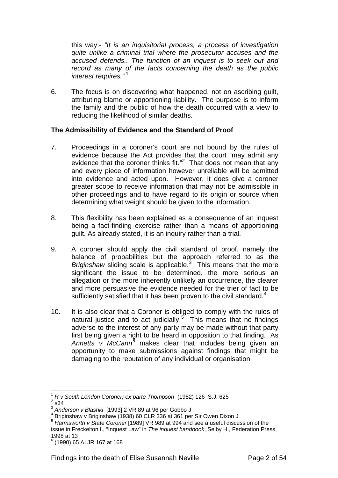this way:- *"It is an inquisitorial process, a process of investigation quite unlike a criminal trial where the prosecutor accuses and the accused defends.. The function of an inquest is to seek out and record as many of the facts concerning the death as the public interest requires."* [1](#page-2-0)

6. The focus is on discovering what happened, not on ascribing guilt, attributing blame or apportioning liability. The purpose is to inform the family and the public of how the death occurred with a view to reducing the likelihood of similar deaths.

#### **The Admissibility of Evidence and the Standard of Proof**

- 7. Proceedings in a coroner's court are not bound by the rules of evidence because the Act provides that the court "may admit any evidence that the coroner thinks fit.<sup>[2](#page-2-1)</sup> That does not mean that any and every piece of information however unreliable will be admitted into evidence and acted upon. However, it does give a coroner greater scope to receive information that may not be admissible in other proceedings and to have regard to its origin or source when determining what weight should be given to the information.
- 8. This flexibility has been explained as a consequence of an inquest being a fact-finding exercise rather than a means of apportioning guilt. As already stated, it is an inquiry rather than a trial.
- 9. A coroner should apply the civil standard of proof, namely the balance of probabilities but the approach referred to as the Briginshaw sliding scale is applicable.<sup>[3](#page-2-2)</sup> This means that the more significant the issue to be determined, the more serious an allegation or the more inherently unlikely an occurrence, the clearer and more persuasive the evidence needed for the trier of fact to be sufficiently satisfied that it has been proven to the civil standard. $4$
- 10. It is also clear that a Coroner is obliged to comply with the rules of natural justice and to act judicially.<sup>[5](#page-2-4)</sup> This means that no findings adverse to the interest of any party may be made without that party first being given a right to be heard in opposition to that finding. As Annetts v McCann<sup>8</sup> makes clear that includes being given an opportunity to make submissions against findings that might be damaging to the reputation of any individual or organisation.

 $\overline{a}$ <sup>1</sup> *R v South London Coroner; ex parte Thompson* (1982) 126 S.J. 625 <sup>2</sup>

<span id="page-2-1"></span><span id="page-2-0"></span> $2$  s34

<span id="page-2-2"></span><sup>3</sup> *Anderson v Blashki* [1993] 2 VR 89 at 96 per Gobbo J 4

<span id="page-2-3"></span>Briginshaw v Briginshaw (1938) 60 CLR 336 at 361 per Sir Owen Dixon J

<span id="page-2-4"></span><sup>5</sup> *Harmsworth v State Coroner* [1989] VR 989 at 994 and see a useful discussion of the issue in Freckelton I., "Inquest Law" in *The inquest handbook*, Selby H., Federation Press, 1998 at 13

<span id="page-2-5"></span><sup>6</sup> (1990) 65 ALJR 167 at 168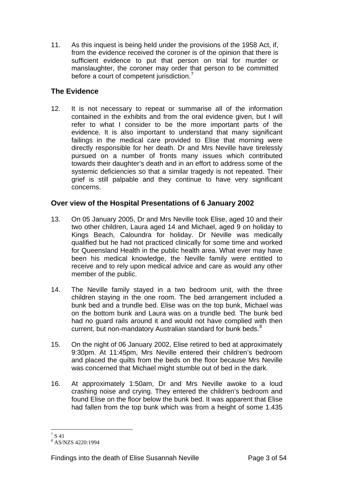11. As this inquest is being held under the provisions of the 1958 Act, if, from the evidence received the coroner is of the opinion that there is sufficient evidence to put that person on trial for murder or manslaughter, the coroner may order that person to be committed before a court of competent jurisdiction.<sup>[7](#page-3-0)</sup>

## **The Evidence**

12. It is not necessary to repeat or summarise all of the information contained in the exhibits and from the oral evidence given, but I will refer to what I consider to be the more important parts of the evidence. It is also important to understand that many significant failings in the medical care provided to Elise that morning were directly responsible for her death. Dr and Mrs Neville have tirelessly pursued on a number of fronts many issues which contributed towards their daughter's death and in an effort to address some of the systemic deficiencies so that a similar tragedy is not repeated. Their grief is still palpable and they continue to have very significant concerns.

### **Over view of the Hospital Presentations of 6 January 2002**

- 13. On 05 January 2005, Dr and Mrs Neville took Elise, aged 10 and their two other children, Laura aged 14 and Michael, aged 9 on holiday to Kings Beach, Caloundra for holiday. Dr Neville was medically qualified but he had not practiced clinically for some time and worked for Queensland Health in the public health area. What ever may have been his medical knowledge, the Neville family were entitled to receive and to rely upon medical advice and care as would any other member of the public.
- 14. The Neville family stayed in a two bedroom unit, with the three children staying in the one room. The bed arrangement included a bunk bed and a trundle bed. Elise was on the top bunk, Michael was on the bottom bunk and Laura was on a trundle bed. The bunk bed had no guard rails around it and would not have complied with then current, but non-mandatory Australian standard for bunk beds.<sup>[8](#page-3-1)</sup>
- 15. On the night of 06 January 2002, Elise retired to bed at approximately 9:30pm. At 11:45pm, Mrs Neville entered their children's bedroom and placed the quilts from the beds on the floor because Mrs Neville was concerned that Michael might stumble out of bed in the dark.
- 16. At approximately 1:50am, Dr and Mrs Neville awoke to a loud crashing noise and crying. They entered the children's bedroom and found Elise on the floor below the bunk bed. It was apparent that Elise had fallen from the top bunk which was from a height of some 1.435

<span id="page-3-0"></span> $^7$  S 41

<span id="page-3-1"></span><sup>8</sup> AS/NZS 4220:1994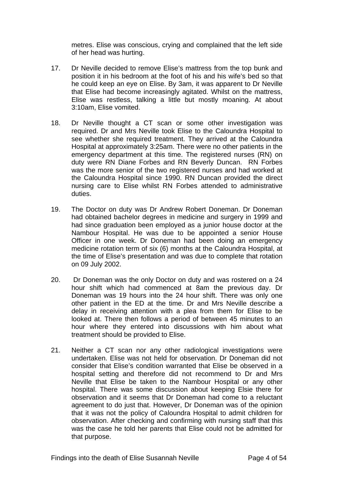metres. Elise was conscious, crying and complained that the left side of her head was hurting.

- 17. Dr Neville decided to remove Elise's mattress from the top bunk and position it in his bedroom at the foot of his and his wife's bed so that he could keep an eye on Elise. By 3am, it was apparent to Dr Neville that Elise had become increasingly agitated. Whilst on the mattress, Elise was restless, talking a little but mostly moaning. At about 3:10am, Elise vomited.
- 18. Dr Neville thought a CT scan or some other investigation was required. Dr and Mrs Neville took Elise to the Caloundra Hospital to see whether she required treatment. They arrived at the Caloundra Hospital at approximately 3:25am. There were no other patients in the emergency department at this time. The registered nurses (RN) on duty were RN Diane Forbes and RN Beverly Duncan. RN Forbes was the more senior of the two registered nurses and had worked at the Caloundra Hospital since 1990. RN Duncan provided the direct nursing care to Elise whilst RN Forbes attended to administrative duties.
- 19. The Doctor on duty was Dr Andrew Robert Doneman. Dr Doneman had obtained bachelor degrees in medicine and surgery in 1999 and had since graduation been employed as a junior house doctor at the Nambour Hospital. He was due to be appointed a senior House Officer in one week. Dr Doneman had been doing an emergency medicine rotation term of six (6) months at the Caloundra Hospital, at the time of Elise's presentation and was due to complete that rotation on 09 July 2002.
- 20. Dr Doneman was the only Doctor on duty and was rostered on a 24 hour shift which had commenced at 8am the previous day. Dr Doneman was 19 hours into the 24 hour shift. There was only one other patient in the ED at the time. Dr and Mrs Neville describe a delay in receiving attention with a plea from them for Elise to be looked at. There then follows a period of between 45 minutes to an hour where they entered into discussions with him about what treatment should be provided to Elise.
- 21. Neither a CT scan nor any other radiological investigations were undertaken. Elise was not held for observation. Dr Doneman did not consider that Elise's condition warranted that Elise be observed in a hospital setting and therefore did not recommend to Dr and Mrs Neville that Elise be taken to the Nambour Hospital or any other hospital. There was some discussion about keeping Elsie there for observation and it seems that Dr Doneman had come to a reluctant agreement to do just that. However, Dr Doneman was of the opinion that it was not the policy of Caloundra Hospital to admit children for observation. After checking and confirming with nursing staff that this was the case he told her parents that Elise could not be admitted for that purpose.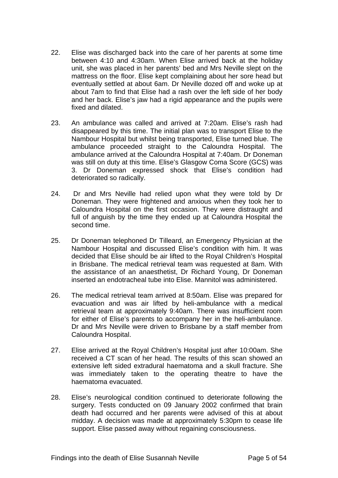- 22. Elise was discharged back into the care of her parents at some time between 4:10 and 4:30am. When Elise arrived back at the holiday unit, she was placed in her parents' bed and Mrs Neville slept on the mattress on the floor. Elise kept complaining about her sore head but eventually settled at about 6am. Dr Neville dozed off and woke up at about 7am to find that Elise had a rash over the left side of her body and her back. Elise's jaw had a rigid appearance and the pupils were fixed and dilated.
- 23. An ambulance was called and arrived at 7:20am. Elise's rash had disappeared by this time. The initial plan was to transport Elise to the Nambour Hospital but whilst being transported, Elise turned blue. The ambulance proceeded straight to the Caloundra Hospital. The ambulance arrived at the Caloundra Hospital at 7:40am. Dr Doneman was still on duty at this time. Elise's Glasgow Coma Score (GCS) was 3. Dr Doneman expressed shock that Elise's condition had deteriorated so radically.
- 24. Dr and Mrs Neville had relied upon what they were told by Dr Doneman. They were frightened and anxious when they took her to Caloundra Hospital on the first occasion. They were distraught and full of anguish by the time they ended up at Caloundra Hospital the second time.
- 25. Dr Doneman telephoned Dr Tilleard, an Emergency Physician at the Nambour Hospital and discussed Elise's condition with him. It was decided that Elise should be air lifted to the Royal Children's Hospital in Brisbane. The medical retrieval team was requested at 8am. With the assistance of an anaesthetist, Dr Richard Young, Dr Doneman inserted an endotracheal tube into Elise. Mannitol was administered.
- 26. The medical retrieval team arrived at 8:50am. Elise was prepared for evacuation and was air lifted by heli-ambulance with a medical retrieval team at approximately 9:40am. There was insufficient room for either of Elise's parents to accompany her in the heli-ambulance. Dr and Mrs Neville were driven to Brisbane by a staff member from Caloundra Hospital.
- 27. Elise arrived at the Royal Children's Hospital just after 10:00am. She received a CT scan of her head. The results of this scan showed an extensive left sided extradural haematoma and a skull fracture. She was immediately taken to the operating theatre to have the haematoma evacuated.
- 28. Elise's neurological condition continued to deteriorate following the surgery. Tests conducted on 09 January 2002 confirmed that brain death had occurred and her parents were advised of this at about midday. A decision was made at approximately 5:30pm to cease life support. Elise passed away without regaining consciousness.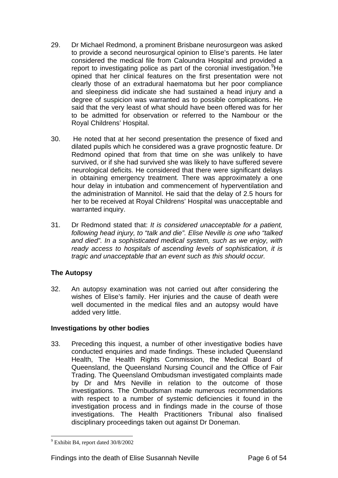- 29. Dr Michael Redmond, a prominent Brisbane neurosurgeon was asked to provide a second neurosurgical opinion to Elise's parents. He later considered the medical file from Caloundra Hospital and provided a report to investigating police as part of the coronial investigation. <sup>[9](#page-6-0)</sup>He opined that her clinical features on the first presentation were not clearly those of an extradural haematoma but her poor compliance and sleepiness did indicate she had sustained a head injury and a degree of suspicion was warranted as to possible complications. He said that the very least of what should have been offered was for her to be admitted for observation or referred to the Nambour or the Royal Childrens' Hospital.
- 30. He noted that at her second presentation the presence of fixed and dilated pupils which he considered was a grave prognostic feature. Dr Redmond opined that from that time on she was unlikely to have survived, or if she had survived she was likely to have suffered severe neurological deficits. He considered that there were significant delays in obtaining emergency treatment. There was approximately a one hour delay in intubation and commencement of hyperventilation and the administration of Mannitol. He said that the delay of 2.5 hours for her to be received at Royal Childrens' Hospital was unacceptable and warranted inquiry.
- 31. Dr Redmond stated that: *It is considered unacceptable for a patient, following head injury, to "talk and die". Elise Neville is one who "talked and died". In a sophisticated medical system, such as we enjoy, with ready access to hospitals of ascending levels of sophistication, it is tragic and unacceptable that an event such as this should occur.*

## **The Autopsy**

32. An autopsy examination was not carried out after considering the wishes of Elise's family. Her injuries and the cause of death were well documented in the medical files and an autopsy would have added very little.

#### **Investigations by other bodies**

33. Preceding this inquest, a number of other investigative bodies have conducted enquiries and made findings. These included Queensland Health, The Health Rights Commission, the Medical Board of Queensland, the Queensland Nursing Council and the Office of Fair Trading. The Queensland Ombudsman investigated complaints made by Dr and Mrs Neville in relation to the outcome of those investigations. The Ombudsman made numerous recommendations with respect to a number of systemic deficiencies it found in the investigation process and in findings made in the course of those investigations. The Health Practitioners Tribunal also finalised disciplinary proceedings taken out against Dr Doneman.

<span id="page-6-0"></span> $\overline{a}$ 9 Exhibit B4, report dated 30/8/2002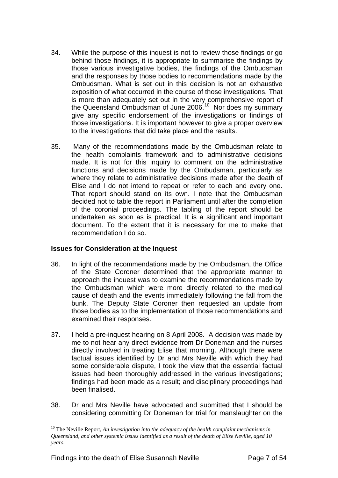- 34. While the purpose of this inquest is not to review those findings or go behind those findings, it is appropriate to summarise the findings by those various investigative bodies, the findings of the Ombudsman and the responses by those bodies to recommendations made by the Ombudsman. What is set out in this decision is not an exhaustive exposition of what occurred in the course of those investigations. That is more than adequately set out in the very comprehensive report of the Queensland Ombudsman of June 2006.<sup>[10](#page-7-0)</sup> Nor does my summary give any specific endorsement of the investigations or findings of those investigations. It is important however to give a proper overview to the investigations that did take place and the results.
- 35. Many of the recommendations made by the Ombudsman relate to the health complaints framework and to administrative decisions made. It is not for this inquiry to comment on the administrative functions and decisions made by the Ombudsman, particularly as where they relate to administrative decisions made after the death of Elise and I do not intend to repeat or refer to each and every one. That report should stand on its own. I note that the Ombudsman decided not to table the report in Parliament until after the completion of the coronial proceedings. The tabling of the report should be undertaken as soon as is practical. It is a significant and important document. To the extent that it is necessary for me to make that recommendation I do so.

#### **Issues for Consideration at the Inquest**

- 36. In light of the recommendations made by the Ombudsman, the Office of the State Coroner determined that the appropriate manner to approach the inquest was to examine the recommendations made by the Ombudsman which were more directly related to the medical cause of death and the events immediately following the fall from the bunk. The Deputy State Coroner then requested an update from those bodies as to the implementation of those recommendations and examined their responses.
- 37. I held a pre-inquest hearing on 8 April 2008. A decision was made by me to not hear any direct evidence from Dr Doneman and the nurses directly involved in treating Elise that morning. Although there were factual issues identified by Dr and Mrs Neville with which they had some considerable dispute, I took the view that the essential factual issues had been thoroughly addressed in the various investigations; findings had been made as a result; and disciplinary proceedings had been finalised.
- 38. Dr and Mrs Neville have advocated and submitted that I should be considering committing Dr Doneman for trial for manslaughter on the

<span id="page-7-0"></span><sup>&</sup>lt;sup>10</sup> The Neville Report, *An investigation into the adequacy of the health complaint mechanisms in Queensland, and other systemic issues identified as a result of the death of Elise Neville, aged 10 years.*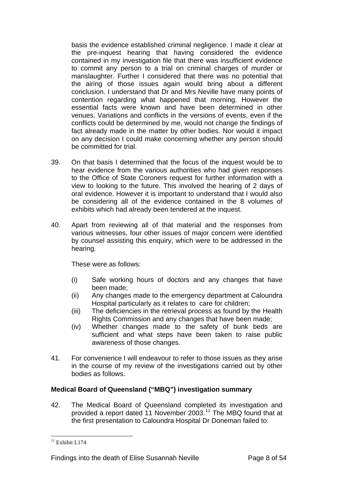basis the evidence established criminal negligence. I made it clear at the pre-inquest hearing that having considered the evidence contained in my investigation file that there was insufficient evidence to commit any person to a trial on criminal charges of murder or manslaughter. Further I considered that there was no potential that the airing of those issues again would bring about a different conclusion. I understand that Dr and Mrs Neville have many points of contention regarding what happened that morning. However the essential facts were known and have been determined in other venues. Variations and conflicts in the versions of events, even if the conflicts could be determined by me, would not change the findings of fact already made in the matter by other bodies. Nor would it impact on any decision I could make concerning whether any person should be committed for trial.

- 39. On that basis I determined that the focus of the inquest would be to hear evidence from the various authorities who had given responses to the Office of State Coroners request for further information with a view to looking to the future. This involved the hearing of 2 days of oral evidence. However it is important to understand that I would also be considering all of the evidence contained in the 8 volumes of exhibits which had already been tendered at the inquest.
- 40. Apart from reviewing all of that material and the responses from various witnesses, four other issues of major concern were identified by counsel assisting this enquiry, which were to be addressed in the hearing.

These were as follows:

- (i) Safe working hours of doctors and any changes that have been made;
- (ii) Any changes made to the emergency department at Caloundra Hospital particularly as it relates to care for children;
- (iii) The deficiencies in the retrieval process as found by the Health Rights Commission and any changes that have been made;
- (iv) Whether changes made to the safety of bunk beds are sufficient and what steps have been taken to raise public awareness of those changes.
- 41. For convenience I will endeavour to refer to those issues as they arise in the course of my review of the investigations carried out by other bodies as follows.

#### **Medical Board of Queensland ("MBQ") investigation summary**

42. The Medical Board of Queensland completed its investigation and provided a report dated 11 November 2003.[11](#page-8-0) The MBQ found that at the first presentation to Caloundra Hospital Dr Doneman failed to:

<span id="page-8-0"></span> $\overline{a}$  $11$  Exhibit L174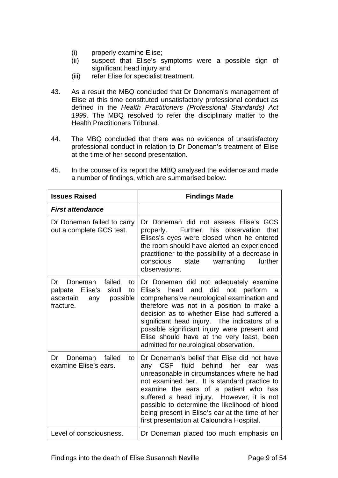- (i) properly examine Elise;
- (ii) suspect that Elise's symptoms were a possible sign of significant head injury and
- (iii) refer Elise for specialist treatment.
- 43. As a result the MBQ concluded that Dr Doneman's management of Elise at this time constituted unsatisfactory professional conduct as defined in the *Health Practitioners (Professional Standards) Act 1999.* The MBQ resolved to refer the disciplinary matter to the Health Practitioners Tribunal.
- 44. The MBQ concluded that there was no evidence of unsatisfactory professional conduct in relation to Dr Doneman's treatment of Elise at the time of her second presentation.

| <b>Issues Raised</b>                                                                                            | <b>Findings Made</b>                                                                                                                                                                                                                                                                                                                                                                                                                           |
|-----------------------------------------------------------------------------------------------------------------|------------------------------------------------------------------------------------------------------------------------------------------------------------------------------------------------------------------------------------------------------------------------------------------------------------------------------------------------------------------------------------------------------------------------------------------------|
| <b>First attendance</b>                                                                                         |                                                                                                                                                                                                                                                                                                                                                                                                                                                |
| Dr Doneman failed to carry<br>out a complete GCS test.                                                          | Dr Doneman did not assess Elise's GCS<br>Further, his observation<br>properly.<br>that<br>Elises's eyes were closed when he entered<br>the room should have alerted an experienced<br>practitioner to the possibility of a decrease in<br>further<br>conscious<br>warranting<br>state<br>observations.                                                                                                                                         |
| failed<br>Dr<br>Doneman<br>to<br>Elise's<br>palpate<br>skull<br>to<br>possible<br>ascertain<br>any<br>fracture. | Dr Doneman did not adequately examine<br>Elise's head<br>and did<br>not<br>perform<br>a a<br>comprehensive neurological examination and<br>therefore was not in a position to make a<br>decision as to whether Elise had suffered a<br>significant head injury. The indicators of a<br>possible significant injury were present and<br>Elise should have at the very least, been<br>admitted for neurological observation.                     |
| failed<br>Dr<br>Doneman<br>to<br>examine Elise's ears.                                                          | Dr Doneman's belief that Elise did not have<br><b>CSF</b><br>fluid<br>behind<br>her<br>any<br>was<br>ear<br>unreasonable in circumstances where he had<br>not examined her. It is standard practice to<br>examine the ears of a patient who has<br>suffered a head injury. However, it is not<br>possible to determine the likelihood of blood<br>being present in Elise's ear at the time of her<br>first presentation at Caloundra Hospital. |
| Level of consciousness.                                                                                         | Dr Doneman placed too much emphasis on                                                                                                                                                                                                                                                                                                                                                                                                         |

45. In the course of its report the MBQ analysed the evidence and made a number of findings, which are summarised below.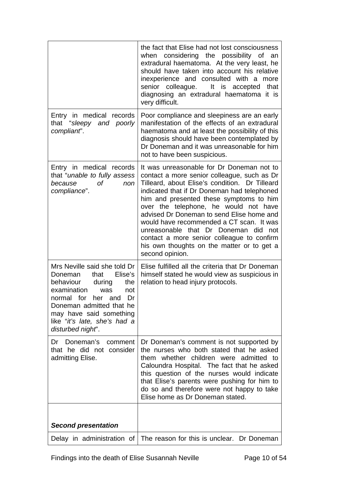|                                                                                                                                                                                                                                                               | the fact that Elise had not lost consciousness<br>when considering the possibility of<br>an<br>extradural haematoma. At the very least, he<br>should have taken into account his relative<br>inexperience and consulted with a<br>more<br>senior colleague.<br>It is accepted<br>that<br>diagnosing an extradural haematoma it is<br>very difficult.                                                                                                                                                                          |
|---------------------------------------------------------------------------------------------------------------------------------------------------------------------------------------------------------------------------------------------------------------|-------------------------------------------------------------------------------------------------------------------------------------------------------------------------------------------------------------------------------------------------------------------------------------------------------------------------------------------------------------------------------------------------------------------------------------------------------------------------------------------------------------------------------|
| Entry in medical records<br>that "sleepy and poorly<br>compliant".                                                                                                                                                                                            | Poor compliance and sleepiness are an early<br>manifestation of the effects of an extradural<br>haematoma and at least the possibility of this<br>diagnosis should have been contemplated by<br>Dr Doneman and it was unreasonable for him<br>not to have been suspicious.                                                                                                                                                                                                                                                    |
| Entry in medical records<br>that "unable to fully assess<br>0f<br>because<br>non<br>compliance".                                                                                                                                                              | It was unreasonable for Dr Doneman not to<br>contact a more senior colleague, such as Dr<br>Tilleard, about Elise's condition. Dr Tilleard<br>indicated that if Dr Doneman had telephoned<br>him and presented these symptoms to him<br>over the telephone, he would not have<br>advised Dr Doneman to send Elise home and<br>would have recommended a CT scan. It was<br>unreasonable that Dr Doneman did not<br>contact a more senior colleague to confirm<br>his own thoughts on the matter or to get a<br>second opinion. |
| Mrs Neville said she told Dr<br>Elise's<br>Doneman<br>that<br>behaviour<br>during<br>the<br>examination<br>was<br>not<br>normal for her<br>and Dr<br>Doneman admitted that he<br>may have said something<br>like "it's late, she's had a<br>disturbed night". | Elise fulfilled all the criteria that Dr Doneman<br>himself stated he would view as suspicious in<br>relation to head injury protocols.                                                                                                                                                                                                                                                                                                                                                                                       |
| Doneman's<br>Dr<br>comment<br>that he did not consider<br>admitting Elise.                                                                                                                                                                                    | Dr Doneman's comment is not supported by<br>the nurses who both stated that he asked<br>them whether children were admitted to<br>Caloundra Hospital. The fact that he asked<br>this question of the nurses would indicate<br>that Elise's parents were pushing for him to<br>do so and therefore were not happy to take<br>Elise home as Dr Doneman stated.                                                                                                                                                                  |
| <b>Second presentation</b>                                                                                                                                                                                                                                    |                                                                                                                                                                                                                                                                                                                                                                                                                                                                                                                               |
| Delay in administration of                                                                                                                                                                                                                                    | The reason for this is unclear. Dr Doneman                                                                                                                                                                                                                                                                                                                                                                                                                                                                                    |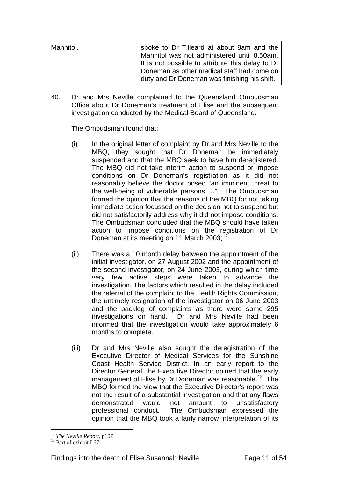| Mannitol. | spoke to Dr Tilleard at about 8am and the<br>Mannitol was not administered until 8.50am. |
|-----------|------------------------------------------------------------------------------------------|
|           | It is not possible to attribute this delay to Dr                                         |
|           | Doneman as other medical staff had come on                                               |
|           | duty and Dr Doneman was finishing his shift.                                             |

40. Dr and Mrs Neville complained to the Queensland Ombudsman Office about Dr Doneman's treatment of Elise and the subsequent investigation conducted by the Medical Board of Queensland.

The Ombudsman found that:

- (i) In the original letter of complaint by Dr and Mrs Neville to the MBQ, they sought that Dr Doneman be immediately suspended and that the MBQ seek to have him deregistered. The MBQ did not take interim action to suspend or impose conditions on Dr Doneman's registration as it did not reasonably believe the doctor posed "an imminent threat to the well-being of vulnerable persons …". The Ombudsman formed the opinion that the reasons of the MBQ for not taking immediate action focussed on the decision not to suspend but did not satisfactorily address why it did not impose conditions. The Ombudsman concluded that the MBQ should have taken action to impose conditions on the registration of Dr Doneman at its meeting on 11 March 2003;<sup>[12](#page-11-0)</sup>
- (ii) There was a 10 month delay between the appointment of the initial investigator, on 27 August 2002 and the appointment of the second investigator, on 24 June 2003, during which time very few active steps were taken to advance the investigation. The factors which resulted in the delay included the referral of the complaint to the Health Rights Commission, the untimely resignation of the investigator on 06 June 2003 and the backlog of complaints as there were some 295 investigations on hand. Dr and Mrs Neville had been informed that the investigation would take approximately 6 months to complete.
- (iii) Dr and Mrs Neville also sought the deregistration of the Executive Director of Medical Services for the Sunshine Coast Health Service District. In an early report to the Director General, the Executive Director opined that the early management of Elise by Dr Doneman was reasonable.<sup>13</sup> The MBQ formed the view that the Executive Director's report was not the result of a substantial investigation and that any flaws demonstrated would not amount to unsatisfactory professional conduct. The Ombudsman expressed the opinion that the MBQ took a fairly narrow interpretation of its

<span id="page-11-1"></span><span id="page-11-0"></span><sup>&</sup>lt;sup>12</sup> *The Neville Report, p107*<br><sup>13</sup> Part of exhibit L67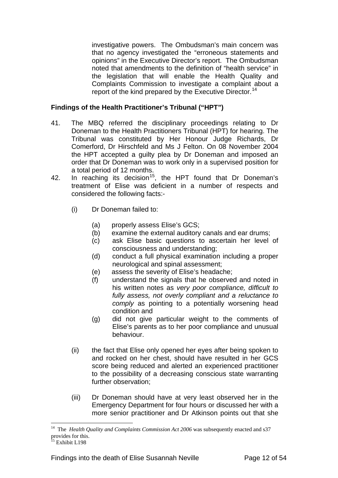investigative powers. The Ombudsman's main concern was that no agency investigated the "erroneous statements and opinions" in the Executive Director's report. The Ombudsman noted that amendments to the definition of "health service" in the legislation that will enable the Health Quality and Complaints Commission to investigate a complaint about a report of the kind prepared by the Executive Director.<sup>[14](#page-12-0)</sup>

#### **Findings of the Health Practitioner's Tribunal ("HPT")**

- 41. The MBQ referred the disciplinary proceedings relating to Dr Doneman to the Health Practitioners Tribunal (HPT) for hearing. The Tribunal was constituted by Her Honour Judge Richards, Dr Comerford, Dr Hirschfeld and Ms J Felton. On 08 November 2004 the HPT accepted a guilty plea by Dr Doneman and imposed an order that Dr Doneman was to work only in a supervised position for a total period of 12 months.
- 42. In reaching its decision<sup>15</sup>, the HPT found that Dr Doneman's treatment of Elise was deficient in a number of respects and considered the following facts:-
	- (i) Dr Doneman failed to:
		- (a) properly assess Elise's GCS;
		- (b) examine the external auditory canals and ear drums;
		- (c) ask Elise basic questions to ascertain her level of consciousness and understanding;
		- (d) conduct a full physical examination including a proper neurological and spinal assessment;
		- (e) assess the severity of Elise's headache;
		- (f) understand the signals that he observed and noted in his written notes as *very poor compliance, difficult to fully assess, not overly compliant and a reluctance to comply* as pointing to a potentially worsening head condition and
		- (g) did not give particular weight to the comments of Elise's parents as to her poor compliance and unusual behaviour.
	- (ii) the fact that Elise only opened her eyes after being spoken to and rocked on her chest, should have resulted in her GCS score being reduced and alerted an experienced practitioner to the possibility of a decreasing conscious state warranting further observation;
	- (iii) Dr Doneman should have at very least observed her in the Emergency Department for four hours or discussed her with a more senior practitioner and Dr Atkinson points out that she

<span id="page-12-0"></span><sup>&</sup>lt;sup>14</sup> The *Health Quality and Complaints Commission Act 2006* was subsequently enacted and s37 provides for this.

<span id="page-12-1"></span><sup>&</sup>lt;sup>15</sup> Exhibit L198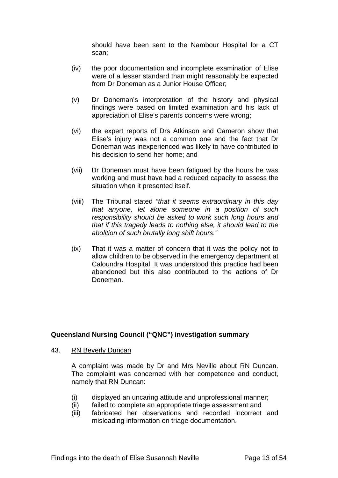should have been sent to the Nambour Hospital for a CT scan;

- (iv) the poor documentation and incomplete examination of Elise were of a lesser standard than might reasonably be expected from Dr Doneman as a Junior House Officer;
- (v) Dr Doneman's interpretation of the history and physical findings were based on limited examination and his lack of appreciation of Elise's parents concerns were wrong;
- (vi) the expert reports of Drs Atkinson and Cameron show that Elise's injury was not a common one and the fact that Dr Doneman was inexperienced was likely to have contributed to his decision to send her home; and
- (vii) Dr Doneman must have been fatigued by the hours he was working and must have had a reduced capacity to assess the situation when it presented itself.
- (viii) The Tribunal stated *"that it seems extraordinary in this day that anyone, let alone someone in a position of such responsibility should be asked to work such long hours and that if this tragedy leads to nothing else, it should lead to the abolition of such brutally long shift hours."*
- (ix) That it was a matter of concern that it was the policy not to allow children to be observed in the emergency department at Caloundra Hospital. It was understood this practice had been abandoned but this also contributed to the actions of Dr Doneman.

#### **Queensland Nursing Council ("QNC") investigation summary**

43. RN Beverly Duncan

A complaint was made by Dr and Mrs Neville about RN Duncan. The complaint was concerned with her competence and conduct, namely that RN Duncan:

- (i) displayed an uncaring attitude and unprofessional manner;
- (ii) failed to complete an appropriate triage assessment and
- (iii) fabricated her observations and recorded incorrect and misleading information on triage documentation.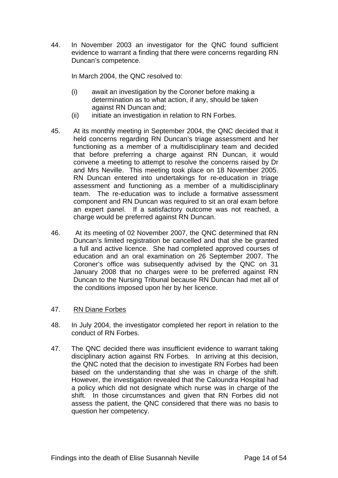44. In November 2003 an investigator for the QNC found sufficient evidence to warrant a finding that there were concerns regarding RN Duncan's competence.

In March 2004, the QNC resolved to:

- (i) await an investigation by the Coroner before making a determination as to what action, if any, should be taken against RN Duncan and;
- (ii) initiate an investigation in relation to RN Forbes.
- 45. At its monthly meeting in September 2004, the QNC decided that it held concerns regarding RN Duncan's triage assessment and her functioning as a member of a multidisciplinary team and decided that before preferring a charge against RN Duncan, it would convene a meeting to attempt to resolve the concerns raised by Dr and Mrs Neville. This meeting took place on 18 November 2005. RN Duncan entered into undertakings for re-education in triage assessment and functioning as a member of a multidisciplinary team. The re-education was to include a formative assessment component and RN Duncan was required to sit an oral exam before an expert panel. If a satisfactory outcome was not reached, a charge would be preferred against RN Duncan.
- 46. At its meeting of 02 November 2007, the QNC determined that RN Duncan's limited registration be cancelled and that she be granted a full and active licence. She had completed approved courses of education and an oral examination on 26 September 2007. The Coroner's office was subsequently advised by the QNC on 31 January 2008 that no charges were to be preferred against RN Duncan to the Nursing Tribunal because RN Duncan had met all of the conditions imposed upon her by her licence.

#### 47. RN Diane Forbes

- 48. In July 2004, the investigator completed her report in relation to the conduct of RN Forbes.
- 47. The QNC decided there was insufficient evidence to warrant taking disciplinary action against RN Forbes. In arriving at this decision, the QNC noted that the decision to investigate RN Forbes had been based on the understanding that she was in charge of the shift. However, the investigation revealed that the Caloundra Hospital had a policy which did not designate which nurse was in charge of the shift. In those circumstances and given that RN Forbes did not assess the patient, the QNC considered that there was no basis to question her competency.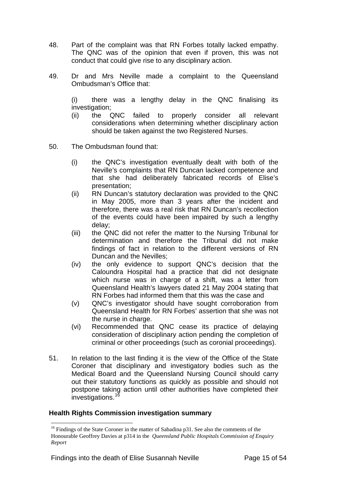- 48. Part of the complaint was that RN Forbes totally lacked empathy. The QNC was of the opinion that even if proven, this was not conduct that could give rise to any disciplinary action.
- 49. Dr and Mrs Neville made a complaint to the Queensland Ombudsman's Office that:

(i) there was a lengthy delay in the QNC finalising its investigation;

- (ii) the QNC failed to properly consider all relevant considerations when determining whether disciplinary action should be taken against the two Registered Nurses.
- 50. The Ombudsman found that:
	- (i) the QNC's investigation eventually dealt with both of the Neville's complaints that RN Duncan lacked competence and that she had deliberately fabricated records of Elise's presentation;
	- (ii) RN Duncan's statutory declaration was provided to the QNC in May 2005, more than 3 years after the incident and therefore, there was a real risk that RN Duncan's recollection of the events could have been impaired by such a lengthy delay;
	- (iii) the QNC did not refer the matter to the Nursing Tribunal for determination and therefore the Tribunal did not make findings of fact in relation to the different versions of RN Duncan and the Nevilles;
	- (iv) the only evidence to support QNC's decision that the Caloundra Hospital had a practice that did not designate which nurse was in charge of a shift, was a letter from Queensland Health's lawyers dated 21 May 2004 stating that RN Forbes had informed them that this was the case and
	- (v) QNC's investigator should have sought corroboration from Queensland Health for RN Forbes' assertion that she was not the nurse in charge.
	- (vi) Recommended that QNC cease its practice of delaying consideration of disciplinary action pending the completion of criminal or other proceedings (such as coronial proceedings).
- 51. In relation to the last finding it is the view of the Office of the State Coroner that disciplinary and investigatory bodies such as the Medical Board and the Queensland Nursing Council should carry out their statutory functions as quickly as possible and should not postpone taking action until other authorities have completed their investigations.<sup>[16](#page-15-0)</sup>

#### **Health Rights Commission investigation summary**

<span id="page-15-0"></span><sup>&</sup>lt;sup>16</sup> Findings of the State Coroner in the matter of Sabadina p31. See also the comments of the Honourable Geoffrey Davies at p314 in the *Queensland Public Hospitals Commission of Enquiry Report*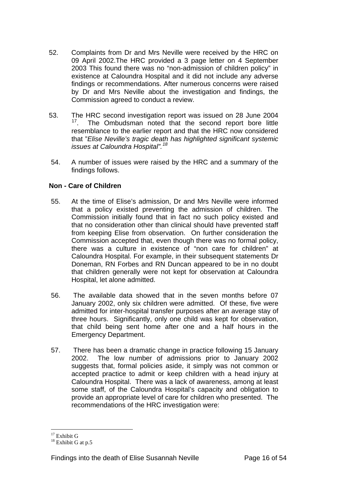- 52. Complaints from Dr and Mrs Neville were received by the HRC on 09 April 2002.The HRC provided a 3 page letter on 4 September 2003 This found there was no "non-admission of children policy" in existence at Caloundra Hospital and it did not include any adverse findings or recommendations. After numerous concerns were raised by Dr and Mrs Neville about the investigation and findings, the Commission agreed to conduct a review.
- 53. The HRC second investigation report was issued on 28 June 2004<br><sup>17</sup> The Ombudsman noted that the second report bore little The Ombudsman noted that the second report bore little resemblance to the earlier report and that the HRC now considered that "*Elise Neville's tragic death has highlighted significant systemic issues at Caloundra Hospital".[18](#page-16-1)*
- 54. A number of issues were raised by the HRC and a summary of the findings follows.

#### **Non - Care of Children**

- 55. At the time of Elise's admission, Dr and Mrs Neville were informed that a policy existed preventing the admission of children. The Commission initially found that in fact no such policy existed and that no consideration other than clinical should have prevented staff from keeping Elise from observation. On further consideration the Commission accepted that, even though there was no formal policy, there was a culture in existence of "non care for children" at Caloundra Hospital. For example, in their subsequent statements Dr Doneman, RN Forbes and RN Duncan appeared to be in no doubt that children generally were not kept for observation at Caloundra Hospital, let alone admitted.
- 56. The available data showed that in the seven months before 07 January 2002, only six children were admitted. Of these, five were admitted for inter-hospital transfer purposes after an average stay of three hours. Significantly, only one child was kept for observation, that child being sent home after one and a half hours in the Emergency Department.
- 57. There has been a dramatic change in practice following 15 January 2002. The low number of admissions prior to January 2002 suggests that, formal policies aside, it simply was not common or accepted practice to admit or keep children with a head injury at Caloundra Hospital. There was a lack of awareness, among at least some staff, of the Caloundra Hospital's capacity and obligation to provide an appropriate level of care for children who presented. The recommendations of the HRC investigation were:

<span id="page-16-0"></span> $17$  Exhibit G

<span id="page-16-1"></span> $18$  Exhibit G at p.5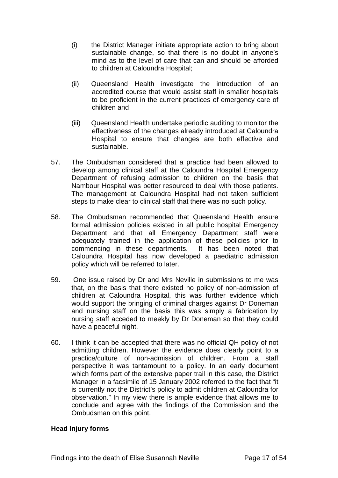- (i) the District Manager initiate appropriate action to bring about sustainable change, so that there is no doubt in anyone's mind as to the level of care that can and should be afforded to children at Caloundra Hospital;
- (ii) Queensland Health investigate the introduction of an accredited course that would assist staff in smaller hospitals to be proficient in the current practices of emergency care of children and
- (iii) Queensland Health undertake periodic auditing to monitor the effectiveness of the changes already introduced at Caloundra Hospital to ensure that changes are both effective and sustainable.
- 57. The Ombudsman considered that a practice had been allowed to develop among clinical staff at the Caloundra Hospital Emergency Department of refusing admission to children on the basis that Nambour Hospital was better resourced to deal with those patients. The management at Caloundra Hospital had not taken sufficient steps to make clear to clinical staff that there was no such policy.
- 58. The Ombudsman recommended that Queensland Health ensure formal admission policies existed in all public hospital Emergency Department and that all Emergency Department staff were adequately trained in the application of these policies prior to commencing in these departments. It has been noted that Caloundra Hospital has now developed a paediatric admission policy which will be referred to later.
- 59. One issue raised by Dr and Mrs Neville in submissions to me was that, on the basis that there existed no policy of non-admission of children at Caloundra Hospital, this was further evidence which would support the bringing of criminal charges against Dr Doneman and nursing staff on the basis this was simply a fabrication by nursing staff acceded to meekly by Dr Doneman so that they could have a peaceful night.
- 60. I think it can be accepted that there was no official QH policy of not admitting children. However the evidence does clearly point to a practice/culture of non-admission of children. From a staff perspective it was tantamount to a policy. In an early document which forms part of the extensive paper trail in this case, the District Manager in a facsimile of 15 January 2002 referred to the fact that "it is currently not the District's policy to admit children at Caloundra for observation." In my view there is ample evidence that allows me to conclude and agree with the findings of the Commission and the Ombudsman on this point.

#### **Head Injury forms**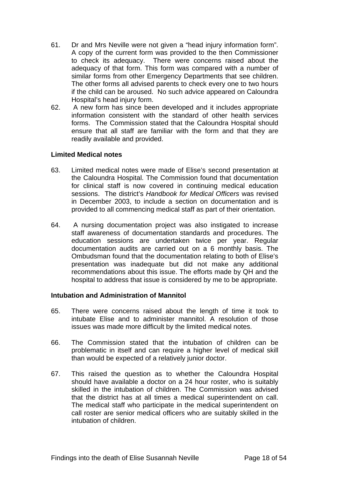- 61. Dr and Mrs Neville were not given a "head injury information form". A copy of the current form was provided to the then Commissioner to check its adequacy. There were concerns raised about the adequacy of that form. This form was compared with a number of similar forms from other Emergency Departments that see children. The other forms all advised parents to check every one to two hours if the child can be aroused. No such advice appeared on Caloundra Hospital's head injury form.
- 62. A new form has since been developed and it includes appropriate information consistent with the standard of other health services forms. The Commission stated that the Caloundra Hospital should ensure that all staff are familiar with the form and that they are readily available and provided.

#### **Limited Medical notes**

- 63. Limited medical notes were made of Elise's second presentation at the Caloundra Hospital. The Commission found that documentation for clinical staff is now covered in continuing medical education sessions. The district's *Handbook for Medical Officers* was revised in December 2003, to include a section on documentation and is provided to all commencing medical staff as part of their orientation.
- 64. A nursing documentation project was also instigated to increase staff awareness of documentation standards and procedures. The education sessions are undertaken twice per year. Regular documentation audits are carried out on a 6 monthly basis. The Ombudsman found that the documentation relating to both of Elise's presentation was inadequate but did not make any additional recommendations about this issue. The efforts made by QH and the hospital to address that issue is considered by me to be appropriate.

#### **Intubation and Administration of Mannitol**

- 65. There were concerns raised about the length of time it took to intubate Elise and to administer mannitol. A resolution of those issues was made more difficult by the limited medical notes.
- 66. The Commission stated that the intubation of children can be problematic in itself and can require a higher level of medical skill than would be expected of a relatively junior doctor.
- 67. This raised the question as to whether the Caloundra Hospital should have available a doctor on a 24 hour roster, who is suitably skilled in the intubation of children. The Commission was advised that the district has at all times a medical superintendent on call. The medical staff who participate in the medical superintendent on call roster are senior medical officers who are suitably skilled in the intubation of children.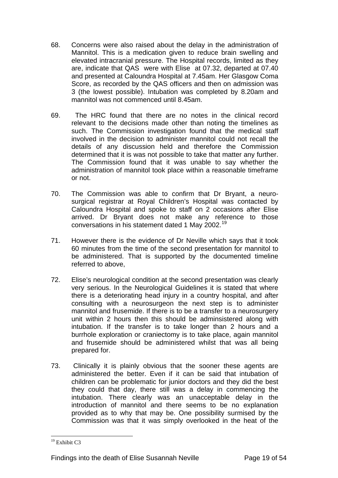- 68. Concerns were also raised about the delay in the administration of Mannitol. This is a medication given to reduce brain swelling and elevated intracranial pressure. The Hospital records, limited as they are, indicate that QAS were with Elise at 07.32, departed at 07.40 and presented at Caloundra Hospital at 7.45am. Her Glasgow Coma Score, as recorded by the QAS officers and then on admission was 3 (the lowest possible). Intubation was completed by 8.20am and mannitol was not commenced until 8.45am.
- 69. The HRC found that there are no notes in the clinical record relevant to the decisions made other than noting the timelines as such. The Commission investigation found that the medical staff involved in the decision to administer mannitol could not recall the details of any discussion held and therefore the Commission determined that it is was not possible to take that matter any further. The Commission found that it was unable to say whether the administration of mannitol took place within a reasonable timeframe or not.
- 70. The Commission was able to confirm that Dr Bryant, a neurosurgical registrar at Royal Children's Hospital was contacted by Caloundra Hospital and spoke to staff on 2 occasions after Elise arrived. Dr Bryant does not make any reference to those conversations in his statement dated 1 May 2002.<sup>[19](#page-19-0)</sup>
- 71. However there is the evidence of Dr Neville which says that it took 60 minutes from the time of the second presentation for mannitol to be administered. That is supported by the documented timeline referred to above,
- 72. Elise's neurological condition at the second presentation was clearly very serious. In the Neurological Guidelines it is stated that where there is a deteriorating head injury in a country hospital, and after consulting with a neurosurgeon the next step is to administer mannitol and frusemide. If there is to be a transfer to a neurosurgery unit within 2 hours then this should be adminsistered along with intubation. If the transfer is to take longer than 2 hours and a burrhole exploration or craniectomy is to take place, again mannitol and frusemide should be administered whilst that was all being prepared for.
- 73. Clinically it is plainly obvious that the sooner these agents are administered the better. Even if it can be said that intubation of children can be problematic for junior doctors and they did the best they could that day, there still was a delay in commencing the intubation. There clearly was an unacceptable delay in the introduction of mannitol and there seems to be no explanation provided as to why that may be. One possibility surmised by the Commission was that it was simply overlooked in the heat of the

<span id="page-19-0"></span><sup>&</sup>lt;sup>19</sup> Exhibit C3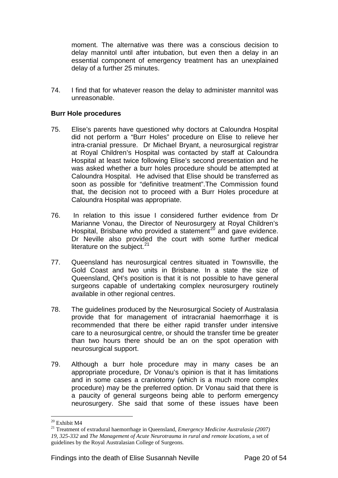moment. The alternative was there was a conscious decision to delay mannitol until after intubation, but even then a delay in an essential component of emergency treatment has an unexplained delay of a further 25 minutes.

74. I find that for whatever reason the delay to administer mannitol was unreasonable.

#### **Burr Hole procedures**

- 75. Elise's parents have questioned why doctors at Caloundra Hospital did not perform a "Burr Holes" procedure on Elise to relieve her intra-cranial pressure. Dr Michael Bryant, a neurosurgical registrar at Royal Children's Hospital was contacted by staff at Caloundra Hospital at least twice following Elise's second presentation and he was asked whether a burr holes procedure should be attempted at Caloundra Hospital. He advised that Elise should be transferred as soon as possible for "definitive treatment".The Commission found that, the decision not to proceed with a Burr Holes procedure at Caloundra Hospital was appropriate.
- 76. In relation to this issue I considered further evidence from Dr Marianne Vonau, the Director of Neurosurgery at Royal Children's Hospital, Brisbane who provided a statement<sup>[20](#page-20-0)</sup> and gave evidence. Dr Neville also provided the court with some further medical literature on the subject. $21$
- 77. Queensland has neurosurgical centres situated in Townsville, the Gold Coast and two units in Brisbane. In a state the size of Queensland, QH's position is that it is not possible to have general surgeons capable of undertaking complex neurosurgery routinely available in other regional centres.
- 78. The guidelines produced by the Neurosurgical Society of Australasia provide that for management of intracranial haemorrhage it is recommended that there be either rapid transfer under intensive care to a neurosurgical centre, or should the transfer time be greater than two hours there should be an on the spot operation with neurosurgical support.
- 79. Although a burr hole procedure may in many cases be an appropriate procedure, Dr Vonau's opinion is that it has limitations and in some cases a craniotomy (which is a much more complex procedure) may be the preferred option. Dr Vonau said that there is a paucity of general surgeons being able to perform emergency neurosurgery. She said that some of these issues have been

<sup>20</sup> Exhibit M4

<span id="page-20-1"></span><span id="page-20-0"></span><sup>21</sup> Treatment of extradural haemorrhage in Queensland, *Emergency Medicine Australasia (2007) 19, 325-332* and *The Management of Acute Neurotrauma in rural and remote locations,* a set of guidelines by the Royal Australasian College of Surgeons.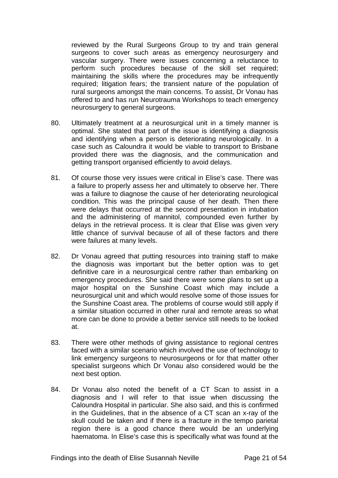reviewed by the Rural Surgeons Group to try and train general surgeons to cover such areas as emergency neurosurgery and vascular surgery. There were issues concerning a reluctance to perform such procedures because of the skill set required; maintaining the skills where the procedures may be infrequently required; litigation fears; the transient nature of the population of rural surgeons amongst the main concerns. To assist, Dr Vonau has offered to and has run Neurotrauma Workshops to teach emergency neurosurgery to general surgeons.

- 80. Ultimately treatment at a neurosurgical unit in a timely manner is optimal. She stated that part of the issue is identifying a diagnosis and identifying when a person is deteriorating neurologically. In a case such as Caloundra it would be viable to transport to Brisbane provided there was the diagnosis, and the communication and getting transport organised efficiently to avoid delays.
- 81. Of course those very issues were critical in Elise's case. There was a failure to properly assess her and ultimately to observe her. There was a failure to diagnose the cause of her deteriorating neurological condition. This was the principal cause of her death. Then there were delays that occurred at the second presentation in intubation and the administering of mannitol, compounded even further by delays in the retrieval process. It is clear that Elise was given very little chance of survival because of all of these factors and there were failures at many levels.
- 82. Dr Vonau agreed that putting resources into training staff to make the diagnosis was important but the better option was to get definitive care in a neurosurgical centre rather than embarking on emergency procedures. She said there were some plans to set up a major hospital on the Sunshine Coast which may include a neurosurgical unit and which would resolve some of those issues for the Sunshine Coast area. The problems of course would still apply if a similar situation occurred in other rural and remote areas so what more can be done to provide a better service still needs to be looked at.
- 83. There were other methods of giving assistance to regional centres faced with a similar scenario which involved the use of technology to link emergency surgeons to neurosurgeons or for that matter other specialist surgeons which Dr Vonau also considered would be the next best option.
- 84. Dr Vonau also noted the benefit of a CT Scan to assist in a diagnosis and I will refer to that issue when discussing the Caloundra Hospital in particular. She also said, and this is confirmed in the Guidelines, that in the absence of a CT scan an x-ray of the skull could be taken and if there is a fracture in the tempo parietal region there is a good chance there would be an underlying haematoma. In Elise's case this is specifically what was found at the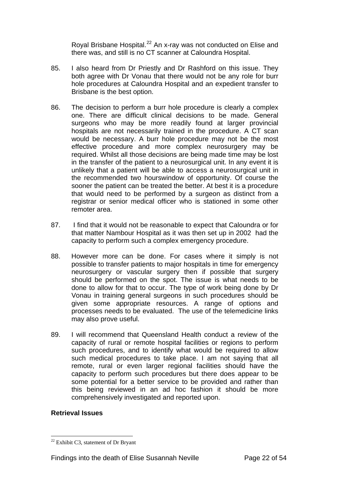Royal Brisbane Hospital.<sup>[22](#page-22-0)</sup> An x-ray was not conducted on Elise and there was, and still is no CT scanner at Caloundra Hospital.

- 85. I also heard from Dr Priestly and Dr Rashford on this issue. They both agree with Dr Vonau that there would not be any role for burr hole procedures at Caloundra Hospital and an expedient transfer to Brisbane is the best option.
- 86. The decision to perform a burr hole procedure is clearly a complex one. There are difficult clinical decisions to be made. General surgeons who may be more readily found at larger provincial hospitals are not necessarily trained in the procedure. A CT scan would be necessary. A burr hole procedure may not be the most effective procedure and more complex neurosurgery may be required. Whilst all those decisions are being made time may be lost in the transfer of the patient to a neurosurgical unit. In any event it is unlikely that a patient will be able to access a neurosurgical unit in the recommended two hourswindow of opportunity. Of course the sooner the patient can be treated the better. At best it is a procedure that would need to be performed by a surgeon as distinct from a registrar or senior medical officer who is stationed in some other remoter area.
- 87. I find that it would not be reasonable to expect that Caloundra or for that matter Nambour Hospital as it was then set up in 2002 had the capacity to perform such a complex emergency procedure.
- 88. However more can be done. For cases where it simply is not possible to transfer patients to major hospitals in time for emergency neurosurgery or vascular surgery then if possible that surgery should be performed on the spot. The issue is what needs to be done to allow for that to occur. The type of work being done by Dr Vonau in training general surgeons in such procedures should be given some appropriate resources. A range of options and processes needs to be evaluated. The use of the telemedicine links may also prove useful.
- 89. I will recommend that Queensland Health conduct a review of the capacity of rural or remote hospital facilities or regions to perform such procedures, and to identify what would be required to allow such medical procedures to take place. I am not saying that all remote, rural or even larger regional facilities should have the capacity to perform such procedures but there does appear to be some potential for a better service to be provided and rather than this being reviewed in an ad hoc fashion it should be more comprehensively investigated and reported upon.

#### **Retrieval Issues**

<span id="page-22-0"></span><sup>22</sup> Exhibit C3, statement of Dr Bryant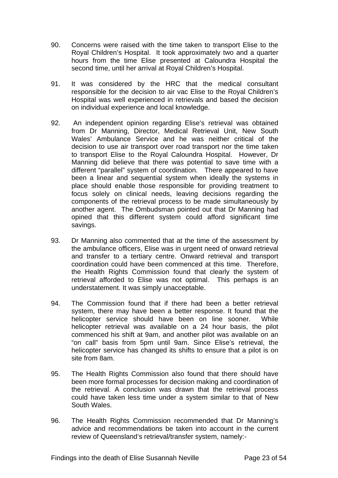- 90. Concerns were raised with the time taken to transport Elise to the Royal Children's Hospital. It took approximately two and a quarter hours from the time Elise presented at Caloundra Hospital the second time, until her arrival at Royal Children's Hospital.
- 91. It was considered by the HRC that the medical consultant responsible for the decision to air vac Elise to the Royal Children's Hospital was well experienced in retrievals and based the decision on individual experience and local knowledge.
- 92. An independent opinion regarding Elise's retrieval was obtained from Dr Manning, Director, Medical Retrieval Unit, New South Wales' Ambulance Service and he was neither critical of the decision to use air transport over road transport nor the time taken to transport Elise to the Royal Caloundra Hospital. However, Dr Manning did believe that there was potential to save time with a different "parallel" system of coordination. There appeared to have been a linear and sequential system when ideally the systems in place should enable those responsible for providing treatment to focus solely on clinical needs, leaving decisions regarding the components of the retrieval process to be made simultaneously by another agent. The Ombudsman pointed out that Dr Manning had opined that this different system could afford significant time savings.
- 93. Dr Manning also commented that at the time of the assessment by the ambulance officers, Elise was in urgent need of onward retrieval and transfer to a tertiary centre. Onward retrieval and transport coordination could have been commenced at this time. Therefore, the Health Rights Commission found that clearly the system of retrieval afforded to Elise was not optimal. This perhaps is an understatement. It was simply unacceptable.
- 94. The Commission found that if there had been a better retrieval system, there may have been a better response. It found that the helicopter service should have been on line sooner. While helicopter retrieval was available on a 24 hour basis, the pilot commenced his shift at 9am, and another pilot was available on an "on call" basis from 5pm until 9am. Since Elise's retrieval, the helicopter service has changed its shifts to ensure that a pilot is on site from 8am.
- 95. The Health Rights Commission also found that there should have been more formal processes for decision making and coordination of the retrieval. A conclusion was drawn that the retrieval process could have taken less time under a system similar to that of New South Wales.
- 96. The Health Rights Commission recommended that Dr Manning's advice and recommendations be taken into account in the current review of Queensland's retrieval/transfer system, namely:-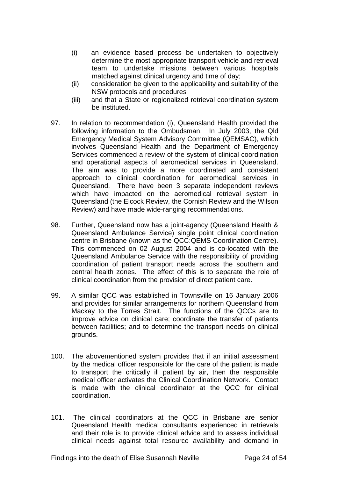- (i) an evidence based process be undertaken to objectively determine the most appropriate transport vehicle and retrieval team to undertake missions between various hospitals matched against clinical urgency and time of day;
- (ii) consideration be given to the applicability and suitability of the NSW protocols and procedures
- (iii) and that a State or regionalized retrieval coordination system be instituted.
- 97. In relation to recommendation (i), Queensland Health provided the following information to the Ombudsman. In July 2003, the Qld Emergency Medical System Advisory Committee (QEMSAC), which involves Queensland Health and the Department of Emergency Services commenced a review of the system of clinical coordination and operational aspects of aeromedical services in Queensland. The aim was to provide a more coordinated and consistent approach to clinical coordination for aeromedical services in Queensland. There have been 3 separate independent reviews which have impacted on the aeromedical retrieval system in Queensland (the Elcock Review, the Cornish Review and the Wilson Review) and have made wide-ranging recommendations.
- 98. Further, Queensland now has a joint-agency (Queensland Health & Queensland Ambulance Service) single point clinical coordination centre in Brisbane (known as the QCC:QEMS Coordination Centre). This commenced on 02 August 2004 and is co-located with the Queensland Ambulance Service with the responsibility of providing coordination of patient transport needs across the southern and central health zones. The effect of this is to separate the role of clinical coordination from the provision of direct patient care.
- 99. A similar QCC was established in Townsville on 16 January 2006 and provides for similar arrangements for northern Queensland from Mackay to the Torres Strait. The functions of the QCCs are to improve advice on clinical care; coordinate the transfer of patients between facilities; and to determine the transport needs on clinical grounds.
- 100. The abovementioned system provides that if an initial assessment by the medical officer responsible for the care of the patient is made to transport the critically ill patient by air, then the responsible medical officer activates the Clinical Coordination Network. Contact is made with the clinical coordinator at the QCC for clinical coordination.
- 101. The clinical coordinators at the QCC in Brisbane are senior Queensland Health medical consultants experienced in retrievals and their role is to provide clinical advice and to assess individual clinical needs against total resource availability and demand in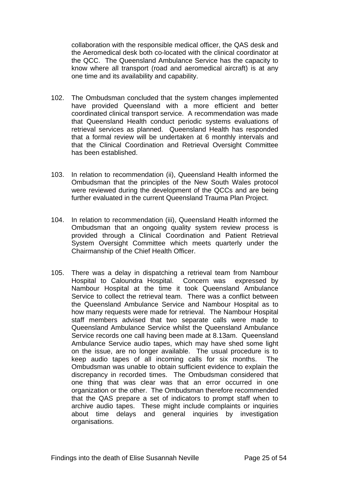collaboration with the responsible medical officer, the QAS desk and the Aeromedical desk both co-located with the clinical coordinator at the QCC. The Queensland Ambulance Service has the capacity to know where all transport (road and aeromedical aircraft) is at any one time and its availability and capability.

- 102. The Ombudsman concluded that the system changes implemented have provided Queensland with a more efficient and better coordinated clinical transport service. A recommendation was made that Queensland Health conduct periodic systems evaluations of retrieval services as planned. Queensland Health has responded that a formal review will be undertaken at 6 monthly intervals and that the Clinical Coordination and Retrieval Oversight Committee has been established.
- 103. In relation to recommendation (ii), Queensland Health informed the Ombudsman that the principles of the New South Wales protocol were reviewed during the development of the QCCs and are being further evaluated in the current Queensland Trauma Plan Project.
- 104. In relation to recommendation (iii), Queensland Health informed the Ombudsman that an ongoing quality system review process is provided through a Clinical Coordination and Patient Retrieval System Oversight Committee which meets quarterly under the Chairmanship of the Chief Health Officer.
- 105. There was a delay in dispatching a retrieval team from Nambour Hospital to Caloundra Hospital. Concern was expressed by Nambour Hospital at the time it took Queensland Ambulance Service to collect the retrieval team. There was a conflict between the Queensland Ambulance Service and Nambour Hospital as to how many requests were made for retrieval. The Nambour Hospital staff members advised that two separate calls were made to Queensland Ambulance Service whilst the Queensland Ambulance Service records one call having been made at 8.13am. Queensland Ambulance Service audio tapes, which may have shed some light on the issue, are no longer available. The usual procedure is to keep audio tapes of all incoming calls for six months. The Ombudsman was unable to obtain sufficient evidence to explain the discrepancy in recorded times. The Ombudsman considered that one thing that was clear was that an error occurred in one organization or the other. The Ombudsman therefore recommended that the QAS prepare a set of indicators to prompt staff when to archive audio tapes. These might include complaints or inquiries about time delays and general inquiries by investigation organisations.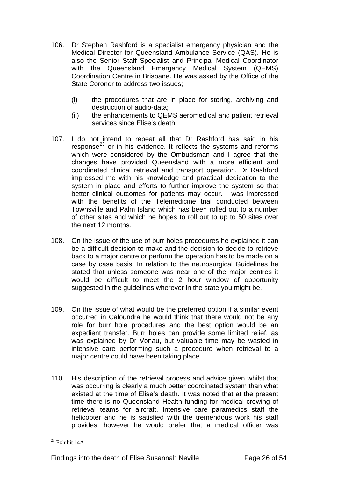- 106. Dr Stephen Rashford is a specialist emergency physician and the Medical Director for Queensland Ambulance Service (QAS). He is also the Senior Staff Specialist and Principal Medical Coordinator with the Queensland Emergency Medical System (QEMS) Coordination Centre in Brisbane. He was asked by the Office of the State Coroner to address two issues;
	- (i) the procedures that are in place for storing, archiving and destruction of audio-data;
	- (ii) the enhancements to QEMS aeromedical and patient retrieval services since Elise's death.
- 107. I do not intend to repeat all that Dr Rashford has said in his response<sup>23</sup> or in his evidence. It reflects the systems and reforms which were considered by the Ombudsman and I agree that the changes have provided Queensland with a more efficient and coordinated clinical retrieval and transport operation. Dr Rashford impressed me with his knowledge and practical dedication to the system in place and efforts to further improve the system so that better clinical outcomes for patients may occur. I was impressed with the benefits of the Telemedicine trial conducted between Townsville and Palm Island which has been rolled out to a number of other sites and which he hopes to roll out to up to 50 sites over the next 12 months.
- 108. On the issue of the use of burr holes procedures he explained it can be a difficult decision to make and the decision to decide to retrieve back to a major centre or perform the operation has to be made on a case by case basis. In relation to the neurosurgical Guidelines he stated that unless someone was near one of the major centres it would be difficult to meet the 2 hour window of opportunity suggested in the guidelines wherever in the state you might be.
- 109. On the issue of what would be the preferred option if a similar event occurred in Caloundra he would think that there would not be any role for burr hole procedures and the best option would be an expedient transfer. Burr holes can provide some limited relief, as was explained by Dr Vonau, but valuable time may be wasted in intensive care performing such a procedure when retrieval to a major centre could have been taking place.
- 110. His description of the retrieval process and advice given whilst that was occurring is clearly a much better coordinated system than what existed at the time of Elise's death. It was noted that at the present time there is no Queensland Health funding for medical crewing of retrieval teams for aircraft. Intensive care paramedics staff the helicopter and he is satisfied with the tremendous work his staff provides, however he would prefer that a medical officer was

<span id="page-26-0"></span> $\overline{a}$  $23$  Exhibit 14A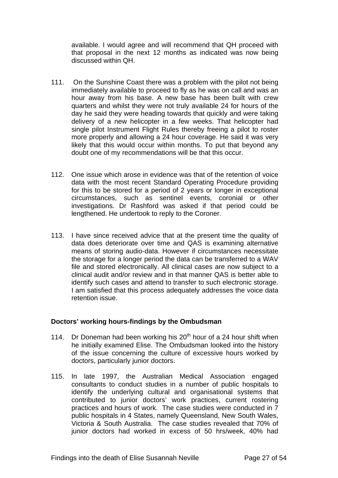available. I would agree and will recommend that QH proceed with that proposal in the next 12 months as indicated was now being discussed within QH.

- 111. On the Sunshine Coast there was a problem with the pilot not being immediately available to proceed to fly as he was on call and was an hour away from his base. A new base has been built with crew quarters and whilst they were not truly available 24 for hours of the day he said they were heading towards that quickly and were taking delivery of a new helicopter in a few weeks. That helicopter had single pilot Instrument Flight Rules thereby freeing a pilot to roster more properly and allowing a 24 hour coverage. He said it was very likely that this would occur within months. To put that beyond any doubt one of my recommendations will be that this occur.
- 112. One issue which arose in evidence was that of the retention of voice data with the most recent Standard Operating Procedure providing for this to be stored for a period of 2 years or longer in exceptional circumstances, such as sentinel events, coronial or other investigations. Dr Rashford was asked if that period could be lengthened. He undertook to reply to the Coroner.
- 113. I have since received advice that at the present time the quality of data does deteriorate over time and QAS is examining alternative means of storing audio-data. However if circumstances necessitate the storage for a longer period the data can be transferred to a WAV file and stored electronically. All clinical cases are now subject to a clinical audit and/or review and in that manner QAS is better able to identify such cases and attend to transfer to such electronic storage. I am satisfied that this process adequately addresses the voice data retention issue.

#### **Doctors' working hours-findings by the Ombudsman**

- 114. Dr Doneman had been working his  $20<sup>th</sup>$  hour of a 24 hour shift when he initially examined Elise. The Ombudsman looked into the history of the issue concerning the culture of excessive hours worked by doctors, particularly junior doctors.
- 115. In late 1997, the Australian Medical Association engaged consultants to conduct studies in a number of public hospitals to identify the underlying cultural and organisational systems that contributed to junior doctors' work practices, current rostering practices and hours of work. The case studies were conducted in 7 public hospitals in 4 States, namely Queensland, New South Wales, Victoria & South Australia. The case studies revealed that 70% of junior doctors had worked in excess of 50 hrs/week, 40% had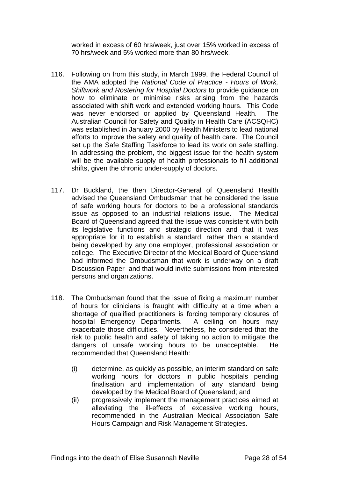worked in excess of 60 hrs/week, just over 15% worked in excess of 70 hrs/week and 5% worked more than 80 hrs/week.

- 116. Following on from this study, in March 1999, the Federal Council of the AMA adopted the *National Code of Practice - Hours of Work, Shiftwork and Rostering for Hospital Doctors* to provide guidance on how to eliminate or minimise risks arising from the hazards associated with shift work and extended working hours. This Code was never endorsed or applied by Queensland Health. The Australian Council for Safety and Quality in Health Care (ACSQHC) was established in January 2000 by Health Ministers to lead national efforts to improve the safety and quality of health care. The Council set up the Safe Staffing Taskforce to lead its work on safe staffing. In addressing the problem, the biggest issue for the health system will be the available supply of health professionals to fill additional shifts, given the chronic under-supply of doctors.
- 117. Dr Buckland, the then Director-General of Queensland Health advised the Queensland Ombudsman that he considered the issue of safe working hours for doctors to be a professional standards issue as opposed to an industrial relations issue. The Medical Board of Queensland agreed that the issue was consistent with both its legislative functions and strategic direction and that it was appropriate for it to establish a standard, rather than a standard being developed by any one employer, professional association or college. The Executive Director of the Medical Board of Queensland had informed the Ombudsman that work is underway on a draft Discussion Paper and that would invite submissions from interested persons and organizations.
- 118. The Ombudsman found that the issue of fixing a maximum number of hours for clinicians is fraught with difficulty at a time when a shortage of qualified practitioners is forcing temporary closures of hospital Emergency Departments. A ceiling on hours may exacerbate those difficulties. Nevertheless, he considered that the risk to public health and safety of taking no action to mitigate the dangers of unsafe working hours to be unacceptable. He recommended that Queensland Health:
	- (i) determine, as quickly as possible, an interim standard on safe working hours for doctors in public hospitals pending finalisation and implementation of any standard being developed by the Medical Board of Queensland; and
	- (ii) progressively implement the management practices aimed at alleviating the ill-effects of excessive working hours, recommended in the Australian Medical Association Safe Hours Campaign and Risk Management Strategies.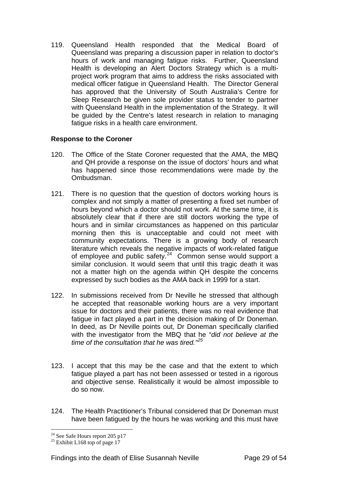119. Queensland Health responded that the Medical Board of Queensland was preparing a discussion paper in relation to doctor's hours of work and managing fatigue risks. Further, Queensland Health is developing an Alert Doctors Strategy which is a multiproject work program that aims to address the risks associated with medical officer fatigue in Queensland Health. The Director General has approved that the University of South Australia's Centre for Sleep Research be given sole provider status to tender to partner with Queensland Health in the implementation of the Strategy. It will be guided by the Centre's latest research in relation to managing fatigue risks in a health care environment.

#### **Response to the Coroner**

- 120. The Office of the State Coroner requested that the AMA, the MBQ and QH provide a response on the issue of doctors' hours and what has happened since those recommendations were made by the Ombudsman.
- 121. There is no question that the question of doctors working hours is complex and not simply a matter of presenting a fixed set number of hours beyond which a doctor should not work. At the same time, it is absolutely clear that if there are still doctors working the type of hours and in similar circumstances as happened on this particular morning then this is unacceptable and could not meet with community expectations. There is a growing body of research literature which reveals the negative impacts of work-related fatigue of employee and public safety.<sup>[24](#page-29-0)</sup> Common sense would support a similar conclusion. It would seem that until this tragic death it was not a matter high on the agenda within QH despite the concerns expressed by such bodies as the AMA back in 1999 for a start.
- 122. In submissions received from Dr Neville he stressed that although he accepted that reasonable working hours are a very important issue for doctors and their patients, there was no real evidence that fatigue in fact played a part in the decision making of Dr Doneman. In deed, as Dr Neville points out, Dr Doneman specifically clarified with the investigator from the MBQ that he "*did not believe at the time of the consultation that he was tired."[25](#page-29-1)*
- 123. I accept that this may be the case and that the extent to which fatigue played a part has not been assessed or tested in a rigorous and objective sense. Realistically it would be almost impossible to do so now.
- 124. The Health Practitioner's Tribunal considered that Dr Doneman must have been fatigued by the hours he was working and this must have

 $\overline{a}$  $24$  See Safe Hours report 205 p17

<span id="page-29-1"></span><span id="page-29-0"></span> $25$  Exhibit L168 top of page 17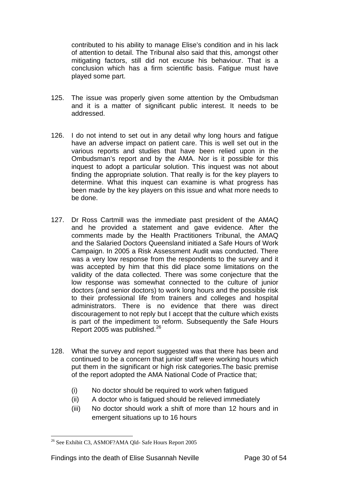contributed to his ability to manage Elise's condition and in his lack of attention to detail. The Tribunal also said that this, amongst other mitigating factors, still did not excuse his behaviour. That is a conclusion which has a firm scientific basis. Fatigue must have played some part.

- 125. The issue was properly given some attention by the Ombudsman and it is a matter of significant public interest. It needs to be addressed.
- 126. I do not intend to set out in any detail why long hours and fatigue have an adverse impact on patient care. This is well set out in the various reports and studies that have been relied upon in the Ombudsman's report and by the AMA. Nor is it possible for this inquest to adopt a particular solution. This inquest was not about finding the appropriate solution. That really is for the key players to determine. What this inquest can examine is what progress has been made by the key players on this issue and what more needs to be done.
- 127. Dr Ross Cartmill was the immediate past president of the AMAQ and he provided a statement and gave evidence. After the comments made by the Health Practitioners Tribunal, the AMAQ and the Salaried Doctors Queensland initiated a Safe Hours of Work Campaign. In 2005 a Risk Assessment Audit was conducted. There was a very low response from the respondents to the survey and it was accepted by him that this did place some limitations on the validity of the data collected. There was some conjecture that the low response was somewhat connected to the culture of junior doctors (and senior doctors) to work long hours and the possible risk to their professional life from trainers and colleges and hospital administrators. There is no evidence that there was direct discouragement to not reply but I accept that the culture which exists is part of the impediment to reform. Subsequently the Safe Hours Report 2005 was published.<sup>[26](#page-30-0)</sup>
- 128. What the survey and report suggested was that there has been and continued to be a concern that junior staff were working hours which put them in the significant or high risk categories.The basic premise of the report adopted the AMA National Code of Practice that;
	- (i) No doctor should be required to work when fatigued
	- (ii) A doctor who is fatigued should be relieved immediately
	- (iii) No doctor should work a shift of more than 12 hours and in emergent situations up to 16 hours

<span id="page-30-0"></span><sup>26</sup> See Exhibit C3, ASMOF?AMA Qld- Safe Hours Report 2005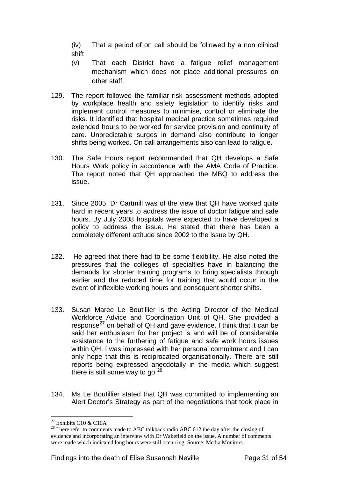(iv) That a period of on call should be followed by a non clinical shift

- (v) That each District have a fatigue relief management mechanism which does not place additional pressures on other staff.
- 129. The report followed the familiar risk assessment methods adopted by workplace health and safety legislation to identify risks and implement control measures to minimise, control or eliminate the risks. It identified that hospital medical practice sometimes required extended hours to be worked for service provision and continuity of care. Unpredictable surges in demand also contribute to longer shifts being worked. On call arrangements also can lead to fatigue.
- 130. The Safe Hours report recommended that QH develops a Safe Hours Work policy in accordance with the AMA Code of Practice. The report noted that QH approached the MBQ to address the issue.
- 131. Since 2005, Dr Cartmill was of the view that QH have worked quite hard in recent years to address the issue of doctor fatigue and safe hours. By July 2008 hospitals were expected to have developed a policy to address the issue. He stated that there has been a completely different attitude since 2002 to the issue by QH.
- 132. He agreed that there had to be some flexibility. He also noted the pressures that the colleges of specialties have in balancing the demands for shorter training programs to bring specialists through earlier and the reduced time for training that would occur in the event of inflexible working hours and consequent shorter shifts.
- 133. Susan Maree Le Boutillier is the Acting Director of the Medical Workforce Advice and Coordination Unit of QH. She provided a response<sup>27</sup> on behalf of QH and gave evidence. I think that it can be said her enthusiasm for her project is and will be of considerable assistance to the furthering of fatigue and safe work hours issues within QH. I was impressed with her personal commitment and I can only hope that this is reciprocated organisationally. There are still reports being expressed anecdotally in the media which suggest there is still some way to go.  $28$
- 134. Ms Le Boutillier stated that QH was committed to implementing an Alert Doctor's Strategy as part of the negotiations that took place in

 $\overline{a}$  $27$  Exhibits C10 & C10A

<span id="page-31-1"></span><span id="page-31-0"></span><sup>&</sup>lt;sup>28</sup> I here refer to comments made to ABC talkback radio ABC 612 the day after the closing of evidence and incorporating an interview with Dr Wakefield on the issue. A number of comments were made which indicated long hours were still occurring. Source: Media Monitors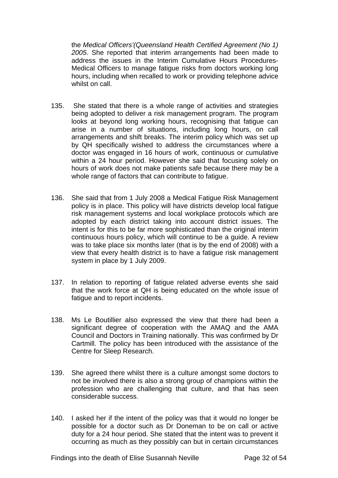the *Medical Officers'(Queensland Health Certified Agreement (No 1) 2005*. She reported that interim arrangements had been made to address the issues in the Interim Cumulative Hours Procedures-Medical Officers to manage fatigue risks from doctors working long hours, including when recalled to work or providing telephone advice whilst on call.

- 135. She stated that there is a whole range of activities and strategies being adopted to deliver a risk management program. The program looks at beyond long working hours, recognising that fatigue can arise in a number of situations, including long hours, on call arrangements and shift breaks. The interim policy which was set up by QH specifically wished to address the circumstances where a doctor was engaged in 16 hours of work, continuous or cumulative within a 24 hour period. However she said that focusing solely on hours of work does not make patients safe because there may be a whole range of factors that can contribute to fatigue.
- 136. She said that from 1 July 2008 a Medical Fatigue Risk Management policy is in place. This policy will have districts develop local fatigue risk management systems and local workplace protocols which are adopted by each district taking into account district issues. The intent is for this to be far more sophisticated than the original interim continuous hours policy, which will continue to be a guide. A review was to take place six months later (that is by the end of 2008) with a view that every health district is to have a fatigue risk management system in place by 1 July 2009.
- 137. In relation to reporting of fatigue related adverse events she said that the work force at QH is being educated on the whole issue of fatigue and to report incidents.
- 138. Ms Le Boutillier also expressed the view that there had been a significant degree of cooperation with the AMAQ and the AMA Council and Doctors in Training nationally. This was confirmed by Dr Cartmill. The policy has been introduced with the assistance of the Centre for Sleep Research.
- 139. She agreed there whilst there is a culture amongst some doctors to not be involved there is also a strong group of champions within the profession who are challenging that culture, and that has seen considerable success.
- 140. I asked her if the intent of the policy was that it would no longer be possible for a doctor such as Dr Doneman to be on call or active duty for a 24 hour period. She stated that the intent was to prevent it occurring as much as they possibly can but in certain circumstances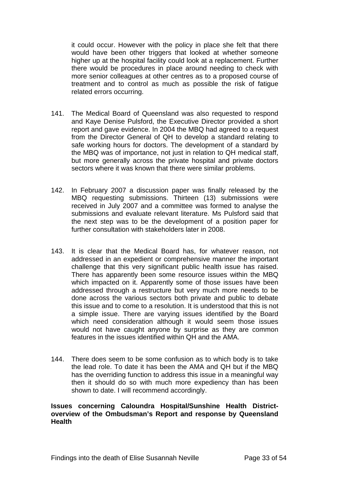it could occur. However with the policy in place she felt that there would have been other triggers that looked at whether someone higher up at the hospital facility could look at a replacement. Further there would be procedures in place around needing to check with more senior colleagues at other centres as to a proposed course of treatment and to control as much as possible the risk of fatigue related errors occurring.

- 141. The Medical Board of Queensland was also requested to respond and Kaye Denise Pulsford, the Executive Director provided a short report and gave evidence. In 2004 the MBQ had agreed to a request from the Director General of QH to develop a standard relating to safe working hours for doctors. The development of a standard by the MBQ was of importance, not just in relation to QH medical staff, but more generally across the private hospital and private doctors sectors where it was known that there were similar problems.
- 142. In February 2007 a discussion paper was finally released by the MBQ requesting submissions. Thirteen (13) submissions were received in July 2007 and a committee was formed to analyse the submissions and evaluate relevant literature. Ms Pulsford said that the next step was to be the development of a position paper for further consultation with stakeholders later in 2008.
- 143. It is clear that the Medical Board has, for whatever reason, not addressed in an expedient or comprehensive manner the important challenge that this very significant public health issue has raised. There has apparently been some resource issues within the MBQ which impacted on it. Apparently some of those issues have been addressed through a restructure but very much more needs to be done across the various sectors both private and public to debate this issue and to come to a resolution. It is understood that this is not a simple issue. There are varying issues identified by the Board which need consideration although it would seem those issues would not have caught anyone by surprise as they are common features in the issues identified within QH and the AMA.
- 144. There does seem to be some confusion as to which body is to take the lead role. To date it has been the AMA and QH but if the MBQ has the overriding function to address this issue in a meaningful way then it should do so with much more expediency than has been shown to date. I will recommend accordingly.

#### **Issues concerning Caloundra Hospital/Sunshine Health Districtoverview of the Ombudsman's Report and response by Queensland Health**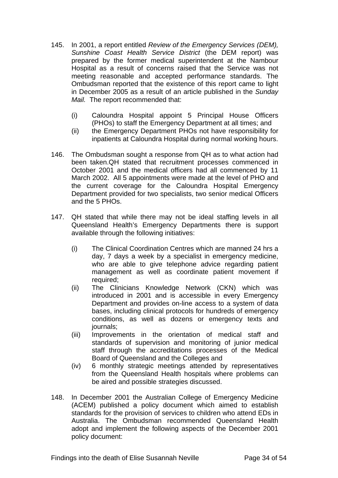- 145. In 2001, a report entitled *Review of the Emergency Services (DEM), Sunshine Coast Health Service District* (the DEM report) was prepared by the former medical superintendent at the Nambour Hospital as a result of concerns raised that the Service was not meeting reasonable and accepted performance standards. The Ombudsman reported that the existence of this report came to light in December 2005 as a result of an article published in the *Sunday Mail.* The report recommended that:
	- (i) Caloundra Hospital appoint 5 Principal House Officers (PHOs) to staff the Emergency Department at all times; and
	- (ii) the Emergency Department PHOs not have responsibility for inpatients at Caloundra Hospital during normal working hours.
- 146. The Ombudsman sought a response from QH as to what action had been taken.QH stated that recruitment processes commenced in October 2001 and the medical officers had all commenced by 11 March 2002. All 5 appointments were made at the level of PHO and the current coverage for the Caloundra Hospital Emergency Department provided for two specialists, two senior medical Officers and the 5 PHOs.
- 147. QH stated that while there may not be ideal staffing levels in all Queensland Health's Emergency Departments there is support available through the following initiatives:
	- (i) The Clinical Coordination Centres which are manned 24 hrs a day, 7 days a week by a specialist in emergency medicine, who are able to give telephone advice regarding patient management as well as coordinate patient movement if required;
	- (ii) The Clinicians Knowledge Network (CKN) which was introduced in 2001 and is accessible in every Emergency Department and provides on-line access to a system of data bases, including clinical protocols for hundreds of emergency conditions, as well as dozens or emergency texts and journals;
	- (iii) Improvements in the orientation of medical staff and standards of supervision and monitoring of junior medical staff through the accreditations processes of the Medical Board of Queensland and the Colleges and
	- (iv) 6 monthly strategic meetings attended by representatives from the Queensland Health hospitals where problems can be aired and possible strategies discussed.
- 148. In December 2001 the Australian College of Emergency Medicine (ACEM) published a policy document which aimed to establish standards for the provision of services to children who attend EDs in Australia. The Ombudsman recommended Queensland Health adopt and implement the following aspects of the December 2001 policy document: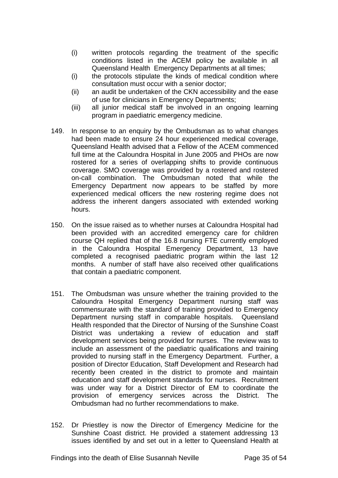- (i) written protocols regarding the treatment of the specific conditions listed in the ACEM policy be available in all Queensland Health Emergency Departments at all times;
- (i) the protocols stipulate the kinds of medical condition where consultation must occur with a senior doctor;
- (ii) an audit be undertaken of the CKN accessibility and the ease of use for clinicians in Emergency Departments;
- (iii) all junior medical staff be involved in an ongoing learning program in paediatric emergency medicine.
- 149. In response to an enquiry by the Ombudsman as to what changes had been made to ensure 24 hour experienced medical coverage, Queensland Health advised that a Fellow of the ACEM commenced full time at the Caloundra Hospital in June 2005 and PHOs are now rostered for a series of overlapping shifts to provide continuous coverage. SMO coverage was provided by a rostered and rostered on-call combination. The Ombudsman noted that while the Emergency Department now appears to be staffed by more experienced medical officers the new rostering regime does not address the inherent dangers associated with extended working hours.
- 150. On the issue raised as to whether nurses at Caloundra Hospital had been provided with an accredited emergency care for children course QH replied that of the 16.8 nursing FTE currently employed in the Caloundra Hospital Emergency Department, 13 have completed a recognised paediatric program within the last 12 months. A number of staff have also received other qualifications that contain a paediatric component.
- 151. The Ombudsman was unsure whether the training provided to the Caloundra Hospital Emergency Department nursing staff was commensurate with the standard of training provided to Emergency Department nursing staff in comparable hospitals. Queensland Health responded that the Director of Nursing of the Sunshine Coast District was undertaking a review of education and staff development services being provided for nurses. The review was to include an assessment of the paediatric qualifications and training provided to nursing staff in the Emergency Department. Further, a position of Director Education, Staff Development and Research had recently been created in the district to promote and maintain education and staff development standards for nurses. Recruitment was under way for a District Director of EM to coordinate the provision of emergency services across the District. The Ombudsman had no further recommendations to make.
- 152. Dr Priestley is now the Director of Emergency Medicine for the Sunshine Coast district. He provided a statement addressing 13 issues identified by and set out in a letter to Queensland Health at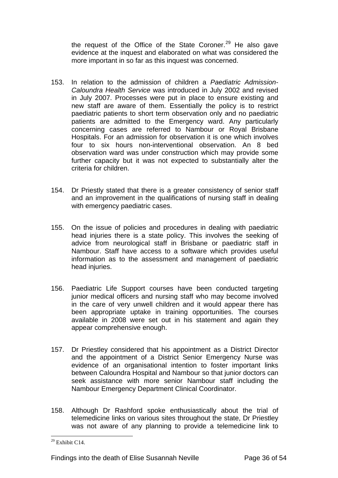the request of the Office of the State Coroner.<sup>[29](#page-36-0)</sup> He also gave evidence at the inquest and elaborated on what was considered the more important in so far as this inquest was concerned.

- 153. In relation to the admission of children a *Paediatric Admission-Caloundra Health Service* was introduced in July 2002 and revised in July 2007. Processes were put in place to ensure existing and new staff are aware of them. Essentially the policy is to restrict paediatric patients to short term observation only and no paediatric patients are admitted to the Emergency ward. Any particularly concerning cases are referred to Nambour or Royal Brisbane Hospitals. For an admission for observation it is one which involves four to six hours non-interventional observation. An 8 bed observation ward was under construction which may provide some further capacity but it was not expected to substantially alter the criteria for children.
- 154. Dr Priestly stated that there is a greater consistency of senior staff and an improvement in the qualifications of nursing staff in dealing with emergency paediatric cases.
- 155. On the issue of policies and procedures in dealing with paediatric head injuries there is a state policy. This involves the seeking of advice from neurological staff in Brisbane or paediatric staff in Nambour. Staff have access to a software which provides useful information as to the assessment and management of paediatric head injuries.
- 156. Paediatric Life Support courses have been conducted targeting junior medical officers and nursing staff who may become involved in the care of very unwell children and it would appear there has been appropriate uptake in training opportunities. The courses available in 2008 were set out in his statement and again they appear comprehensive enough.
- 157. Dr Priestley considered that his appointment as a District Director and the appointment of a District Senior Emergency Nurse was evidence of an organisational intention to foster important links between Caloundra Hospital and Nambour so that junior doctors can seek assistance with more senior Nambour staff including the Nambour Emergency Department Clinical Coordinator.
- 158. Although Dr Rashford spoke enthusiastically about the trial of telemedicine links on various sites throughout the state, Dr Priestley was not aware of any planning to provide a telemedicine link to

<span id="page-36-0"></span> $\overline{a}$  $29$  Exhibit C14.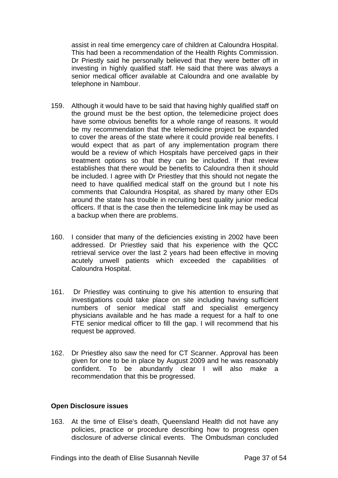assist in real time emergency care of children at Caloundra Hospital. This had been a recommendation of the Health Rights Commission. Dr Priestly said he personally believed that they were better off in investing in highly qualified staff. He said that there was always a senior medical officer available at Caloundra and one available by telephone in Nambour.

- 159. Although it would have to be said that having highly qualified staff on the ground must be the best option, the telemedicine project does have some obvious benefits for a whole range of reasons. It would be my recommendation that the telemedicine project be expanded to cover the areas of the state where it could provide real benefits. I would expect that as part of any implementation program there would be a review of which Hospitals have perceived gaps in their treatment options so that they can be included. If that review establishes that there would be benefits to Caloundra then it should be included. I agree with Dr Priestley that this should not negate the need to have qualified medical staff on the ground but I note his comments that Caloundra Hospital, as shared by many other EDs around the state has trouble in recruiting best quality junior medical officers. If that is the case then the telemedicine link may be used as a backup when there are problems.
- 160. I consider that many of the deficiencies existing in 2002 have been addressed. Dr Priestley said that his experience with the QCC retrieval service over the last 2 years had been effective in moving acutely unwell patients which exceeded the capabilities of Caloundra Hospital.
- 161. Dr Priestley was continuing to give his attention to ensuring that investigations could take place on site including having sufficient numbers of senior medical staff and specialist emergency physicians available and he has made a request for a half to one FTE senior medical officer to fill the gap. I will recommend that his request be approved.
- 162. Dr Priestley also saw the need for CT Scanner. Approval has been given for one to be in place by August 2009 and he was reasonably confident. To be abundantly clear I will also make a recommendation that this be progressed.

#### **Open Disclosure issues**

163. At the time of Elise's death, Queensland Health did not have any policies, practice or procedure describing how to progress open disclosure of adverse clinical events. The Ombudsman concluded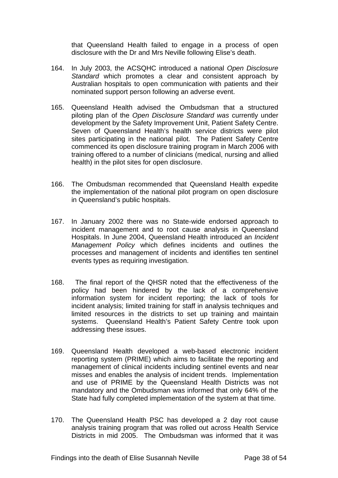that Queensland Health failed to engage in a process of open disclosure with the Dr and Mrs Neville following Elise's death.

- 164. In July 2003, the ACSQHC introduced a national *Open Disclosure Standard* which promotes a clear and consistent approach by Australian hospitals to open communication with patients and their nominated support person following an adverse event.
- 165. Queensland Health advised the Ombudsman that a structured piloting plan of the *Open Disclosure Standard was* currently under development by the Safety Improvement Unit, Patient Safety Centre. Seven of Queensland Health's health service districts were pilot sites participating in the national pilot. The Patient Safety Centre commenced its open disclosure training program in March 2006 with training offered to a number of clinicians (medical, nursing and allied health) in the pilot sites for open disclosure.
- 166. The Ombudsman recommended that Queensland Health expedite the implementation of the national pilot program on open disclosure in Queensland's public hospitals.
- 167. In January 2002 there was no State-wide endorsed approach to incident management and to root cause analysis in Queensland Hospitals. In June 2004, Queensland Health introduced an *Incident Management Policy* which defines incidents and outlines the processes and management of incidents and identifies ten sentinel events types as requiring investigation.
- 168. The final report of the QHSR noted that the effectiveness of the policy had been hindered by the lack of a comprehensive information system for incident reporting; the lack of tools for incident analysis; limited training for staff in analysis techniques and limited resources in the districts to set up training and maintain systems. Queensland Health's Patient Safety Centre took upon addressing these issues.
- 169. Queensland Health developed a web-based electronic incident reporting system (PRIME) which aims to facilitate the reporting and management of clinical incidents including sentinel events and near misses and enables the analysis of incident trends. Implementation and use of PRIME by the Queensland Health Districts was not mandatory and the Ombudsman was informed that only 64% of the State had fully completed implementation of the system at that time.
- 170. The Queensland Health PSC has developed a 2 day root cause analysis training program that was rolled out across Health Service Districts in mid 2005. The Ombudsman was informed that it was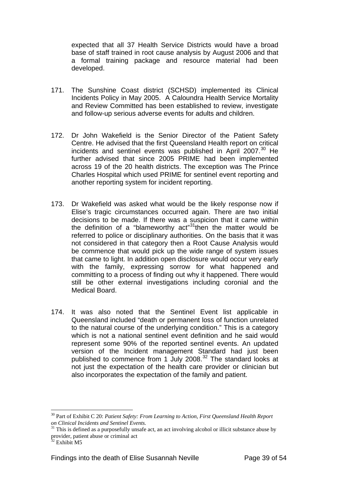expected that all 37 Health Service Districts would have a broad base of staff trained in root cause analysis by August 2006 and that a formal training package and resource material had been developed.

- 171. The Sunshine Coast district (SCHSD) implemented its Clinical Incidents Policy in May 2005. A Caloundra Health Service Mortality and Review Committed has been established to review, investigate and follow-up serious adverse events for adults and children.
- 172. Dr John Wakefield is the Senior Director of the Patient Safety Centre. He advised that the first Queensland Health report on critical incidents and sentinel events was published in April  $2007<sup>30</sup>$  $2007<sup>30</sup>$  $2007<sup>30</sup>$  He further advised that since 2005 PRIME had been implemented across 19 of the 20 health districts. The exception was The Prince Charles Hospital which used PRIME for sentinel event reporting and another reporting system for incident reporting.
- 173. Dr Wakefield was asked what would be the likely response now if Elise's tragic circumstances occurred again. There are two initial decisions to be made. If there was a suspicion that it came within the definition of a "blameworthy act"<sup>31</sup>then the matter would be referred to police or disciplinary authorities. On the basis that it was not considered in that category then a Root Cause Analysis would be commence that would pick up the wide range of system issues that came to light. In addition open disclosure would occur very early with the family, expressing sorrow for what happened and committing to a process of finding out why it happened. There would still be other external investigations including coronial and the Medical Board.
- 174. It was also noted that the Sentinel Event list applicable in Queensland included "death or permanent loss of function unrelated to the natural course of the underlying condition." This is a category which is not a national sentinel event definition and he said would represent some 90% of the reported sentinel events. An updated version of the Incident management Standard had just been published to commence from 1 July 2008.[32](#page-39-2) The standard looks at not just the expectation of the health care provider or clinician but also incorporates the expectation of the family and patient.

<span id="page-39-0"></span><sup>30</sup> Part of Exhibit C 20: *Patient Safety: From Learning to Action, First Queensland Health Report on Clinical Incidents and Sentinel Events.* 

<span id="page-39-1"></span> $31$  This is defined as a purposefully unsafe act, an act involving alcohol or illicit substance abuse by provider, patient abuse or criminal act

<span id="page-39-2"></span><sup>32</sup> Exhibit M5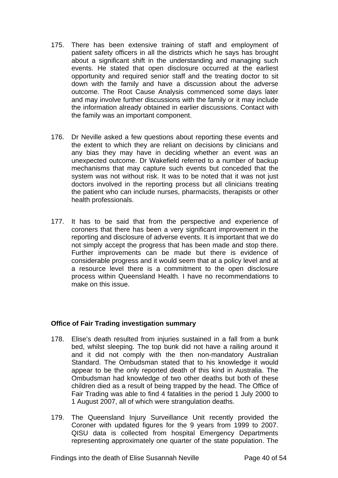- 175. There has been extensive training of staff and employment of patient safety officers in all the districts which he says has brought about a significant shift in the understanding and managing such events. He stated that open disclosure occurred at the earliest opportunity and required senior staff and the treating doctor to sit down with the family and have a discussion about the adverse outcome. The Root Cause Analysis commenced some days later and may involve further discussions with the family or it may include the information already obtained in earlier discussions. Contact with the family was an important component.
- 176. Dr Neville asked a few questions about reporting these events and the extent to which they are reliant on decisions by clinicians and any bias they may have in deciding whether an event was an unexpected outcome. Dr Wakefield referred to a number of backup mechanisms that may capture such events but conceded that the system was not without risk. It was to be noted that it was not just doctors involved in the reporting process but all clinicians treating the patient who can include nurses, pharmacists, therapists or other health professionals.
- 177. It has to be said that from the perspective and experience of coroners that there has been a very significant improvement in the reporting and disclosure of adverse events. It is important that we do not simply accept the progress that has been made and stop there. Further improvements can be made but there is evidence of considerable progress and it would seem that at a policy level and at a resource level there is a commitment to the open disclosure process within Queensland Health. I have no recommendations to make on this issue.

#### **Office of Fair Trading investigation summary**

- 178. Elise's death resulted from injuries sustained in a fall from a bunk bed, whilst sleeping. The top bunk did not have a railing around it and it did not comply with the then non-mandatory Australian Standard. The Ombudsman stated that to his knowledge it would appear to be the only reported death of this kind in Australia. The Ombudsman had knowledge of two other deaths but both of these children died as a result of being trapped by the head. The Office of Fair Trading was able to find 4 fatalities in the period 1 July 2000 to 1 August 2007, all of which were strangulation deaths.
- 179. The Queensland Injury Surveillance Unit recently provided the Coroner with updated figures for the 9 years from 1999 to 2007. QISU data is collected from hospital Emergency Departments representing approximately one quarter of the state population. The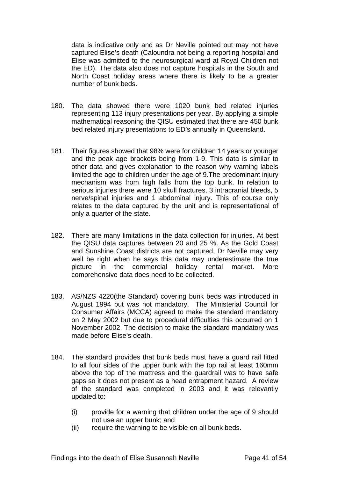data is indicative only and as Dr Neville pointed out may not have captured Elise's death (Caloundra not being a reporting hospital and Elise was admitted to the neurosurgical ward at Royal Children not the ED). The data also does not capture hospitals in the South and North Coast holiday areas where there is likely to be a greater number of bunk beds.

- 180. The data showed there were 1020 bunk bed related injuries representing 113 injury presentations per year. By applying a simple mathematical reasoning the QISU estimated that there are 450 bunk bed related injury presentations to ED's annually in Queensland.
- 181. Their figures showed that 98% were for children 14 years or younger and the peak age brackets being from 1-9. This data is similar to other data and gives explanation to the reason why warning labels limited the age to children under the age of 9.The predominant injury mechanism was from high falls from the top bunk. In relation to serious injuries there were 10 skull fractures, 3 intracranial bleeds, 5 nerve/spinal injuries and 1 abdominal injury. This of course only relates to the data captured by the unit and is representational of only a quarter of the state.
- 182. There are many limitations in the data collection for injuries. At best the QISU data captures between 20 and 25 %. As the Gold Coast and Sunshine Coast districts are not captured, Dr Neville may very well be right when he says this data may underestimate the true picture in the commercial holiday rental market. More comprehensive data does need to be collected.
- 183. AS/NZS 4220(the Standard) covering bunk beds was introduced in August 1994 but was not mandatory. The Ministerial Council for Consumer Affairs (MCCA) agreed to make the standard mandatory on 2 May 2002 but due to procedural difficulties this occurred on 1 November 2002. The decision to make the standard mandatory was made before Elise's death.
- 184. The standard provides that bunk beds must have a guard rail fitted to all four sides of the upper bunk with the top rail at least 160mm above the top of the mattress and the guardrail was to have safe gaps so it does not present as a head entrapment hazard. A review of the standard was completed in 2003 and it was relevantly updated to:
	- (i) provide for a warning that children under the age of 9 should not use an upper bunk; and
	- (ii) require the warning to be visible on all bunk beds.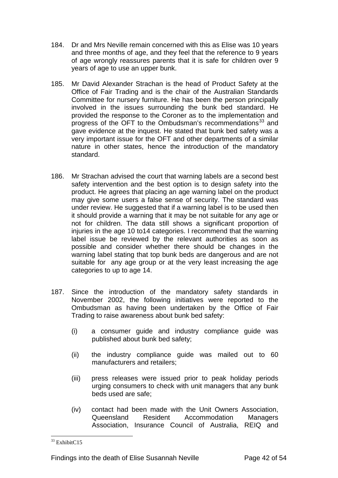- 184. Dr and Mrs Neville remain concerned with this as Elise was 10 years and three months of age, and they feel that the reference to 9 years of age wrongly reassures parents that it is safe for children over 9 years of age to use an upper bunk.
- 185. Mr David Alexander Strachan is the head of Product Safety at the Office of Fair Trading and is the chair of the Australian Standards Committee for nursery furniture. He has been the person principally involved in the issues surrounding the bunk bed standard. He provided the response to the Coroner as to the implementation and progress of the OFT to the Ombudsman's recommendations<sup>33</sup> and gave evidence at the inquest. He stated that bunk bed safety was a very important issue for the OFT and other departments of a similar nature in other states, hence the introduction of the mandatory standard.
- 186. Mr Strachan advised the court that warning labels are a second best safety intervention and the best option is to design safety into the product. He agrees that placing an age warning label on the product may give some users a false sense of security. The standard was under review. He suggested that if a warning label is to be used then it should provide a warning that it may be not suitable for any age or not for children. The data still shows a significant proportion of injuries in the age 10 to14 categories. I recommend that the warning label issue be reviewed by the relevant authorities as soon as possible and consider whether there should be changes in the warning label stating that top bunk beds are dangerous and are not suitable for any age group or at the very least increasing the age categories to up to age 14.
- 187. Since the introduction of the mandatory safety standards in November 2002, the following initiatives were reported to the Ombudsman as having been undertaken by the Office of Fair Trading to raise awareness about bunk bed safety:
	- (i) a consumer guide and industry compliance guide was published about bunk bed safety;
	- (ii) the industry compliance guide was mailed out to 60 manufacturers and retailers;
	- (iii) press releases were issued prior to peak holiday periods urging consumers to check with unit managers that any bunk beds used are safe;
	- (iv) contact had been made with the Unit Owners Association, Queensland Resident Accommodation Managers Association, Insurance Council of Australia, REIQ and

<span id="page-42-0"></span> $\overline{a}$ <sup>33</sup> ExhibitC15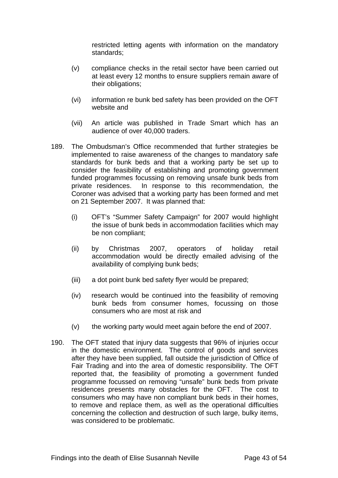restricted letting agents with information on the mandatory standards;

- (v) compliance checks in the retail sector have been carried out at least every 12 months to ensure suppliers remain aware of their obligations;
- (vi) information re bunk bed safety has been provided on the OFT website and
- (vii) An article was published in Trade Smart which has an audience of over 40,000 traders.
- 189. The Ombudsman's Office recommended that further strategies be implemented to raise awareness of the changes to mandatory safe standards for bunk beds and that a working party be set up to consider the feasibility of establishing and promoting government funded programmes focussing on removing unsafe bunk beds from private residences. In response to this recommendation, the Coroner was advised that a working party has been formed and met on 21 September 2007. It was planned that:
	- (i) OFT's "Summer Safety Campaign" for 2007 would highlight the issue of bunk beds in accommodation facilities which may be non compliant;
	- (ii) by Christmas 2007, operators of holiday retail accommodation would be directly emailed advising of the availability of complying bunk beds;
	- (iii) a dot point bunk bed safety flyer would be prepared;
	- (iv) research would be continued into the feasibility of removing bunk beds from consumer homes, focussing on those consumers who are most at risk and
	- (v) the working party would meet again before the end of 2007.
- 190. The OFT stated that injury data suggests that 96% of injuries occur in the domestic environment. The control of goods and services after they have been supplied, fall outside the jurisdiction of Office of Fair Trading and into the area of domestic responsibility. The OFT reported that, the feasibility of promoting a government funded programme focussed on removing "unsafe" bunk beds from private residences presents many obstacles for the OFT. The cost to consumers who may have non compliant bunk beds in their homes, to remove and replace them, as well as the operational difficulties concerning the collection and destruction of such large, bulky items, was considered to be problematic.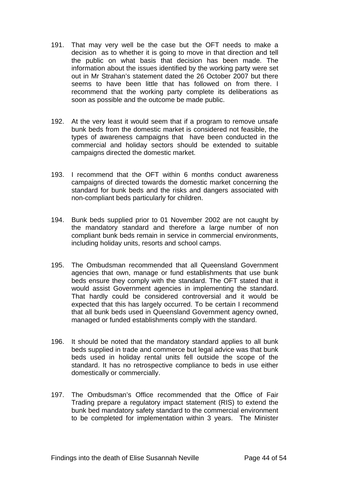- 191. That may very well be the case but the OFT needs to make a decision as to whether it is going to move in that direction and tell the public on what basis that decision has been made. The information about the issues identified by the working party were set out in Mr Strahan's statement dated the 26 October 2007 but there seems to have been little that has followed on from there. I recommend that the working party complete its deliberations as soon as possible and the outcome be made public.
- 192. At the very least it would seem that if a program to remove unsafe bunk beds from the domestic market is considered not feasible, the types of awareness campaigns that have been conducted in the commercial and holiday sectors should be extended to suitable campaigns directed the domestic market.
- 193. I recommend that the OFT within 6 months conduct awareness campaigns of directed towards the domestic market concerning the standard for bunk beds and the risks and dangers associated with non-compliant beds particularly for children.
- 194. Bunk beds supplied prior to 01 November 2002 are not caught by the mandatory standard and therefore a large number of non compliant bunk beds remain in service in commercial environments, including holiday units, resorts and school camps.
- 195. The Ombudsman recommended that all Queensland Government agencies that own, manage or fund establishments that use bunk beds ensure they comply with the standard. The OFT stated that it would assist Government agencies in implementing the standard. That hardly could be considered controversial and it would be expected that this has largely occurred. To be certain I recommend that all bunk beds used in Queensland Government agency owned, managed or funded establishments comply with the standard.
- 196. It should be noted that the mandatory standard applies to all bunk beds supplied in trade and commerce but legal advice was that bunk beds used in holiday rental units fell outside the scope of the standard. It has no retrospective compliance to beds in use either domestically or commercially.
- 197. The Ombudsman's Office recommended that the Office of Fair Trading prepare a regulatory impact statement (RIS) to extend the bunk bed mandatory safety standard to the commercial environment to be completed for implementation within 3 years. The Minister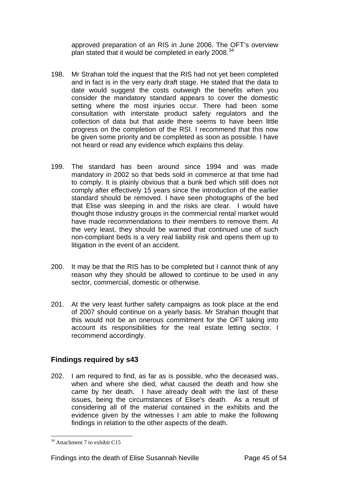approved preparation of an RIS in June 2006. The OFT's overview plan stated that it would be completed in early 2008.<sup>[34](#page-45-0)</sup>

- 198. Mr Strahan told the inquest that the RIS had not yet been completed and in fact is in the very early draft stage. He stated that the data to date would suggest the costs outweigh the benefits when you consider the mandatory standard appears to cover the domestic setting where the most injuries occur. There had been some consultation with interstate product safety regulators and the collection of data but that aside there seems to have been little progress on the completion of the RSI. I recommend that this now be given some priority and be completed as soon as possible. I have not heard or read any evidence which explains this delay.
- 199. The standard has been around since 1994 and was made mandatory in 2002 so that beds sold in commerce at that time had to comply. It is plainly obvious that a bunk bed which still does not comply after effectively 15 years since the introduction of the earlier standard should be removed. I have seen photographs of the bed that Elise was sleeping in and the risks are clear. I would have thought those industry groups in the commercial rental market would have made recommendations to their members to remove them. At the very least, they should be warned that continued use of such non-compliant beds is a very real liability risk and opens them up to litigation in the event of an accident.
- 200. It may be that the RIS has to be completed but I cannot think of any reason why they should be allowed to continue to be used in any sector, commercial, domestic or otherwise.
- 201. At the very least further safety campaigns as took place at the end of 2007 should continue on a yearly basis. Mr Strahan thought that this would not be an onerous commitment for the OFT taking into account its responsibilities for the real estate letting sector. I recommend accordingly.

#### **Findings required by s43**

202. I am required to find, as far as is possible, who the deceased was, when and where she died, what caused the death and how she came by her death. I have already dealt with the last of these issues, being the circumstances of Elise's death. As a result of considering all of the material contained in the exhibits and the evidence given by the witnesses I am able to make the following findings in relation to the other aspects of the death.

<span id="page-45-0"></span><sup>&</sup>lt;sup>34</sup> Attachment 7 to exhibit C15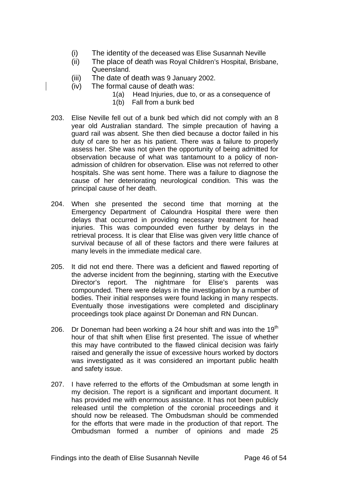- (i) The identity of the deceased was Elise Susannah Neville
- (ii) The place of death was Royal Children's Hospital, Brisbane, Queensland.
- (iii) The date of death was 9 January 2002.
- (iv) The formal cause of death was:
	- 1(a) Head Injuries, due to, or as a consequence of
	- 1(b) Fall from a bunk bed
- 203. Elise Neville fell out of a bunk bed which did not comply with an 8 year old Australian standard. The simple precaution of having a guard rail was absent. She then died because a doctor failed in his duty of care to her as his patient. There was a failure to properly assess her. She was not given the opportunity of being admitted for observation because of what was tantamount to a policy of nonadmission of children for observation. Elise was not referred to other hospitals. She was sent home. There was a failure to diagnose the cause of her deteriorating neurological condition. This was the principal cause of her death.
- 204. When she presented the second time that morning at the Emergency Department of Caloundra Hospital there were then delays that occurred in providing necessary treatment for head injuries. This was compounded even further by delays in the retrieval process. It is clear that Elise was given very little chance of survival because of all of these factors and there were failures at many levels in the immediate medical care.
- 205. It did not end there. There was a deficient and flawed reporting of the adverse incident from the beginning, starting with the Executive Director's report. The nightmare for Elise's parents was compounded. There were delays in the investigation by a number of bodies. Their initial responses were found lacking in many respects. Eventually those investigations were completed and disciplinary proceedings took place against Dr Doneman and RN Duncan.
- 206. Dr Doneman had been working a 24 hour shift and was into the  $19<sup>th</sup>$ hour of that shift when Elise first presented. The issue of whether this may have contributed to the flawed clinical decision was fairly raised and generally the issue of excessive hours worked by doctors was investigated as it was considered an important public health and safety issue.
- 207. I have referred to the efforts of the Ombudsman at some length in my decision. The report is a significant and important document. It has provided me with enormous assistance. It has not been publicly released until the completion of the coronial proceedings and it should now be released. The Ombudsman should be commended for the efforts that were made in the production of that report. The Ombudsman formed a number of opinions and made 25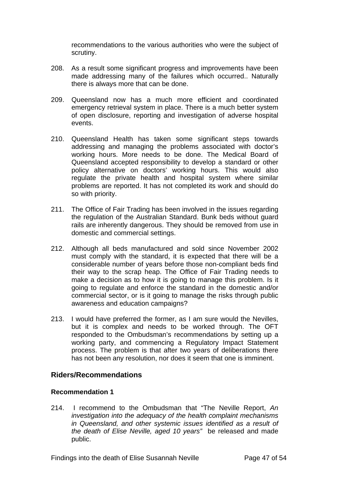recommendations to the various authorities who were the subject of scrutiny.

- 208. As a result some significant progress and improvements have been made addressing many of the failures which occurred.. Naturally there is always more that can be done.
- 209. Queensland now has a much more efficient and coordinated emergency retrieval system in place. There is a much better system of open disclosure, reporting and investigation of adverse hospital events.
- 210. Queensland Health has taken some significant steps towards addressing and managing the problems associated with doctor's working hours. More needs to be done. The Medical Board of Queensland accepted responsibility to develop a standard or other policy alternative on doctors' working hours. This would also regulate the private health and hospital system where similar problems are reported. It has not completed its work and should do so with priority.
- 211. The Office of Fair Trading has been involved in the issues regarding the regulation of the Australian Standard. Bunk beds without guard rails are inherently dangerous. They should be removed from use in domestic and commercial settings.
- 212. Although all beds manufactured and sold since November 2002 must comply with the standard, it is expected that there will be a considerable number of years before those non-compliant beds find their way to the scrap heap. The Office of Fair Trading needs to make a decision as to how it is going to manage this problem. Is it going to regulate and enforce the standard in the domestic and/or commercial sector, or is it going to manage the risks through public awareness and education campaigns?
- 213. I would have preferred the former, as I am sure would the Nevilles, but it is complex and needs to be worked through. The OFT responded to the Ombudsman's recommendations by setting up a working party, and commencing a Regulatory Impact Statement process. The problem is that after two years of deliberations there has not been any resolution, nor does it seem that one is imminent.

#### **Riders/Recommendations**

#### **Recommendation 1**

214. I recommend to the Ombudsman that "The Neville Report, *An investigation into the adequacy of the health complaint mechanisms in Queensland, and other systemic issues identified as a result of the death of Elise Neville, aged 10 years"* be released and made public.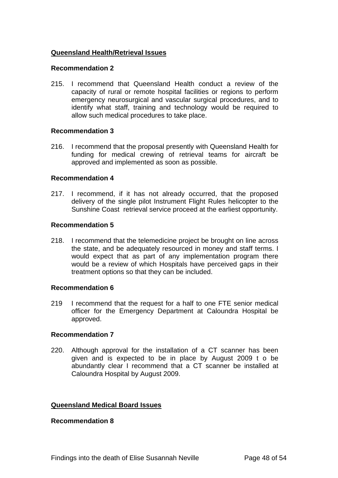#### **Queensland Health/Retrieval Issues**

#### **Recommendation 2**

215. I recommend that Queensland Health conduct a review of the capacity of rural or remote hospital facilities or regions to perform emergency neurosurgical and vascular surgical procedures, and to identify what staff, training and technology would be required to allow such medical procedures to take place.

#### **Recommendation 3**

216. I recommend that the proposal presently with Queensland Health for funding for medical crewing of retrieval teams for aircraft be approved and implemented as soon as possible.

#### **Recommendation 4**

217. I recommend, if it has not already occurred, that the proposed delivery of the single pilot Instrument Flight Rules helicopter to the Sunshine Coast retrieval service proceed at the earliest opportunity.

#### **Recommendation 5**

218. I recommend that the telemedicine project be brought on line across the state, and be adequately resourced in money and staff terms. I would expect that as part of any implementation program there would be a review of which Hospitals have perceived gaps in their treatment options so that they can be included.

#### **Recommendation 6**

219 I recommend that the request for a half to one FTE senior medical officer for the Emergency Department at Caloundra Hospital be approved.

#### **Recommendation 7**

220. Although approval for the installation of a CT scanner has been given and is expected to be in place by August 2009 t o be abundantly clear I recommend that a CT scanner be installed at Caloundra Hospital by August 2009.

#### **Queensland Medical Board Issues**

#### **Recommendation 8**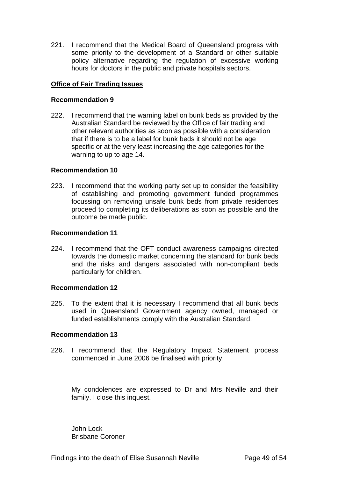221. I recommend that the Medical Board of Queensland progress with some priority to the development of a Standard or other suitable policy alternative regarding the regulation of excessive working hours for doctors in the public and private hospitals sectors.

#### **Office of Fair Trading Issues**

#### **Recommendation 9**

222. I recommend that the warning label on bunk beds as provided by the Australian Standard be reviewed by the Office of fair trading and other relevant authorities as soon as possible with a consideration that if there is to be a label for bunk beds it should not be age specific or at the very least increasing the age categories for the warning to up to age 14.

#### **Recommendation 10**

223. I recommend that the working party set up to consider the feasibility of establishing and promoting government funded programmes focussing on removing unsafe bunk beds from private residences proceed to completing its deliberations as soon as possible and the outcome be made public.

#### **Recommendation 11**

224. I recommend that the OFT conduct awareness campaigns directed towards the domestic market concerning the standard for bunk beds and the risks and dangers associated with non-compliant beds particularly for children.

#### **Recommendation 12**

225. To the extent that it is necessary I recommend that all bunk beds used in Queensland Government agency owned, managed or funded establishments comply with the Australian Standard.

#### **Recommendation 13**

226. I recommend that the Regulatory Impact Statement process commenced in June 2006 be finalised with priority.

My condolences are expressed to Dr and Mrs Neville and their family. I close this inquest.

John Lock Brisbane Coroner